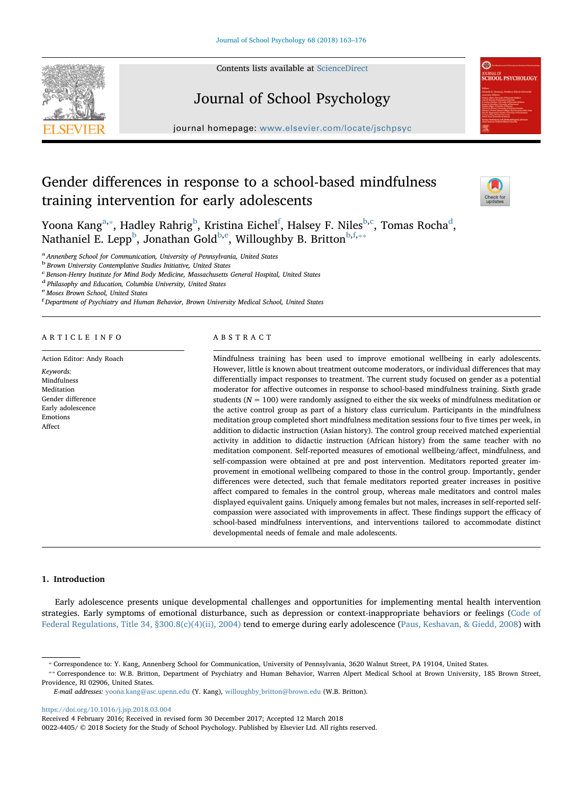Contents lists available at [ScienceDirect](http://www.sciencedirect.com/science/journal/00224405)





# Journal of School Psychology

journal homepage: [www.elsevier.com/locate/jschpsyc](https://www.elsevier.com/locate/jschpsyc)

# Gender differences in response to a school-based mindfulness training intervention for early adolescents



Yoona Kang $^{\mathrm{a},*}$ , Ha[d](#page-0-5)ley Rahrig $^{\mathrm{b}}$  $^{\mathrm{b}}$  $^{\mathrm{b}}$ , Kristina Ei[c](#page-0-4)hel $^{\mathrm{f}}$  $^{\mathrm{f}}$  $^{\mathrm{f}}$ , Halsey F. Niles $^{\mathrm{b},\mathrm{c}}$ , Tomas Rocha $^{\mathrm{d}}$ , Nathaniel E. Lepp<sup>[b](#page-0-2)</sup>, Jonathan Gold<sup>b,[e](#page-0-6)</sup>, Willoughby B. Britton<sup>[b,](#page-0-2)[f](#page-0-3),\*\*</sup>

<span id="page-0-0"></span><sup>a</sup> Annenberg School for Communication, University of Pennsylvania, United States

<span id="page-0-2"></span><sup>b</sup> Brown University Contemplative Studies Initiative, United States

<span id="page-0-4"></span>c Benson-Henry Institute for Mind Body Medicine, Massachusetts General Hospital, United States

<span id="page-0-5"></span><sup>d</sup> Philasophy and Education, Columbia University, United States

<span id="page-0-6"></span><sup>e</sup> Moses Brown School, United States

<span id="page-0-3"></span><sup>f</sup> Department of Psychiatry and Human Behavior, Brown University Medical School, United States

## ARTICLE INFO

Action Editor: Andy Roach

Keywords: Mindfulness Meditation Gender difference Early adolescence Emotions Affect

# ABSTRACT

Mindfulness training has been used to improve emotional wellbeing in early adolescents. However, little is known about treatment outcome moderators, or individual differences that may differentially impact responses to treatment. The current study focused on gender as a potential moderator for affective outcomes in response to school-based mindfulness training. Sixth grade students ( $N = 100$ ) were randomly assigned to either the six weeks of mindfulness meditation or the active control group as part of a history class curriculum. Participants in the mindfulness meditation group completed short mindfulness meditation sessions four to five times per week, in addition to didactic instruction (Asian history). The control group received matched experiential activity in addition to didactic instruction (African history) from the same teacher with no meditation component. Self-reported measures of emotional wellbeing/affect, mindfulness, and self-compassion were obtained at pre and post intervention. Meditators reported greater improvement in emotional wellbeing compared to those in the control group. Importantly, gender differences were detected, such that female meditators reported greater increases in positive affect compared to females in the control group, whereas male meditators and control males displayed equivalent gains. Uniquely among females but not males, increases in self-reported selfcompassion were associated with improvements in affect. These findings support the efficacy of school-based mindfulness interventions, and interventions tailored to accommodate distinct developmental needs of female and male adolescents.

# 1. Introduction

Early adolescence presents unique developmental challenges and opportunities for implementing mental health intervention strategies. Early symptoms of emotional disturbance, such as depression or context-inappropriate behaviors or feelings [\(Code of](#page-11-0) [Federal Regulations, Title 34, §300.8\(c\)\(4\)\(ii\), 2004\)](#page-11-0) tend to emerge during early adolescence ([Paus, Keshavan, & Giedd, 2008](#page-13-0)) with

E-mail addresses: [yoona.kang@asc.upenn.edu](mailto:yoona.kang@asc.upenn.edu) (Y. Kang), [willoughby\\_britton@brown.edu](mailto:willoughby_britton@brown.edu) (W.B. Britton).

<https://doi.org/10.1016/j.jsp.2018.03.004>

Received 4 February 2016; Received in revised form 30 December 2017; Accepted 12 March 2018

<span id="page-0-1"></span><sup>⁎</sup> Correspondence to: Y. Kang, Annenberg School for Communication, University of Pennsylvania, 3620 Walnut Street, PA 19104, United States.

<span id="page-0-7"></span><sup>⁎⁎</sup> Correspondence to: W.B. Britton, Department of Psychiatry and Human Behavior, Warren Alpert Medical School at Brown University, 185 Brown Street, Providence, RI 02906, United States.

<sup>0022-4405/ © 2018</sup> Society for the Study of School Psychology. Published by Elsevier Ltd. All rights reserved.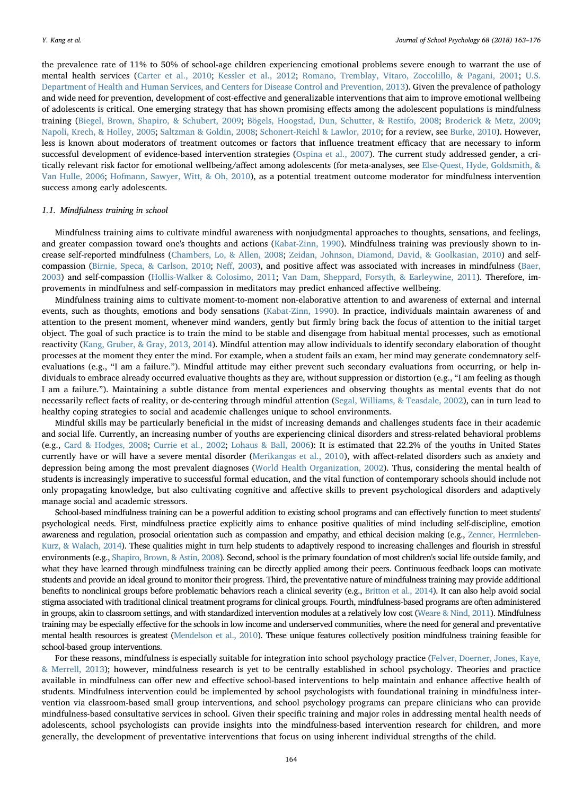the prevalence rate of 11% to 50% of school-age children experiencing emotional problems severe enough to warrant the use of mental health services [\(Carter et al., 2010;](#page-11-1) [Kessler et al., 2012](#page-12-0); [Romano, Tremblay, Vitaro, Zoccolillo, & Pagani, 2001;](#page-13-1) [U.S.](#page-13-2) [Department of Health and Human Services, and Centers for Disease Control and Prevention, 2013\)](#page-13-2). Given the prevalence of pathology and wide need for prevention, development of cost-effective and generalizable interventions that aim to improve emotional wellbeing of adolescents is critical. One emerging strategy that has shown promising effects among the adolescent populations is mindfulness training [\(Biegel, Brown, Shapiro, & Schubert, 2009](#page-11-2); [Bögels, Hoogstad, Dun, Schutter, & Restifo, 2008](#page-11-3); [Broderick & Metz, 2009;](#page-11-4) [Napoli, Krech, & Holley, 2005](#page-12-1); [Saltzman & Goldin, 2008;](#page-13-3) [Schonert-Reichl & Lawlor, 2010;](#page-13-4) for a review, see [Burke, 2010\)](#page-11-5). However, less is known about moderators of treatment outcomes or factors that influence treatment efficacy that are necessary to inform successful development of evidence-based intervention strategies ([Ospina et al., 2007](#page-13-5)). The current study addressed gender, a critically relevant risk factor for emotional wellbeing/affect among adolescents (for meta-analyses, see [Else-Quest, Hyde, Goldsmith, &](#page-12-2) [Van Hulle, 2006;](#page-12-2) [Hofmann, Sawyer, Witt, & Oh, 2010\)](#page-12-3), as a potential treatment outcome moderator for mindfulness intervention success among early adolescents.

#### 1.1. Mindfulness training in school

Mindfulness training aims to cultivate mindful awareness with nonjudgmental approaches to thoughts, sensations, and feelings, and greater compassion toward one's thoughts and actions [\(Kabat-Zinn, 1990\)](#page-12-4). Mindfulness training was previously shown to increase self-reported mindfulness [\(Chambers, Lo, & Allen, 2008;](#page-11-6) [Zeidan, Johnson, Diamond, David, & Goolkasian, 2010](#page-13-6)) and selfcompassion [\(Birnie, Speca, & Carlson, 2010;](#page-11-7) Neff[, 2003](#page-12-5)), and positive affect was associated with increases in mindfulness [\(Baer,](#page-11-8) [2003\)](#page-11-8) and self-compassion [\(Hollis-Walker & Colosimo, 2011](#page-12-6); [Van Dam, Sheppard, Forsyth, & Earleywine, 2011](#page-13-7)). Therefore, improvements in mindfulness and self-compassion in meditators may predict enhanced affective wellbeing.

Mindfulness training aims to cultivate moment-to-moment non-elaborative attention to and awareness of external and internal events, such as thoughts, emotions and body sensations [\(Kabat-Zinn, 1990\)](#page-12-4). In practice, individuals maintain awareness of and attention to the present moment, whenever mind wanders, gently but firmly bring back the focus of attention to the initial target object. The goal of such practice is to train the mind to be stable and disengage from habitual mental processes, such as emotional reactivity ([Kang, Gruber, & Gray, 2013, 2014](#page-12-7)). Mindful attention may allow individuals to identify secondary elaboration of thought processes at the moment they enter the mind. For example, when a student fails an exam, her mind may generate condemnatory selfevaluations (e.g., "I am a failure."). Mindful attitude may either prevent such secondary evaluations from occurring, or help individuals to embrace already occurred evaluative thoughts as they are, without suppression or distortion (e.g., "I am feeling as though I am a failure."). Maintaining a subtle distance from mental experiences and observing thoughts as mental events that do not necessarily reflect facts of reality, or de-centering through mindful attention ([Segal, Williams, & Teasdale, 2002\)](#page-13-8), can in turn lead to healthy coping strategies to social and academic challenges unique to school environments.

Mindful skills may be particularly beneficial in the midst of increasing demands and challenges students face in their academic and social life. Currently, an increasing number of youths are experiencing clinical disorders and stress-related behavioral problems (e.g., [Card & Hodges, 2008](#page-11-9); [Currie et al., 2002;](#page-11-10) [Lohaus & Ball, 2006\)](#page-12-8): It is estimated that 22.2% of the youths in United States currently have or will have a severe mental disorder ([Merikangas et al., 2010](#page-12-9)), with affect-related disorders such as anxiety and depression being among the most prevalent diagnoses [\(World Health Organization, 2002](#page-13-9)). Thus, considering the mental health of students is increasingly imperative to successful formal education, and the vital function of contemporary schools should include not only propagating knowledge, but also cultivating cognitive and affective skills to prevent psychological disorders and adaptively manage social and academic stressors.

School-based mindfulness training can be a powerful addition to existing school programs and can effectively function to meet students' psychological needs. First, mindfulness practice explicitly aims to enhance positive qualities of mind including self-discipline, emotion awareness and regulation, prosocial orientation such as compassion and empathy, and ethical decision making (e.g., [Zenner, Herrnleben-](#page-13-10)[Kurz, & Walach, 2014](#page-13-10)). These qualities might in turn help students to adaptively respond to increasing challenges and flourish in stressful environments (e.g., [Shapiro, Brown, & Astin, 2008](#page-13-11)). Second, school is the primary foundation of most children's social life outside family, and what they have learned through mindfulness training can be directly applied among their peers. Continuous feedback loops can motivate students and provide an ideal ground to monitor their progress. Third, the preventative nature of mindfulness training may provide additional benefits to nonclinical groups before problematic behaviors reach a clinical severity (e.g., [Britton et al., 2014](#page-11-11)). It can also help avoid social stigma associated with traditional clinical treatment programs for clinical groups. Fourth, mindfulness-based programs are often administered in groups, akin to classroom settings, and with standardized intervention modules at a relatively low cost [\(Weare & Nind, 2011](#page-13-12)). Mindfulness training may be especially effective for the schools in low income and underserved communities, where the need for general and preventative mental health resources is greatest [\(Mendelson et al., 2010\)](#page-12-10). These unique features collectively position mindfulness training feasible for school-based group interventions.

For these reasons, mindfulness is especially suitable for integration into school psychology practice ([Felver, Doerner, Jones, Kaye,](#page-12-11) [& Merrell, 2013\)](#page-12-11); however, mindfulness research is yet to be centrally established in school psychology. Theories and practice available in mindfulness can offer new and effective school-based interventions to help maintain and enhance affective health of students. Mindfulness intervention could be implemented by school psychologists with foundational training in mindfulness intervention via classroom-based small group interventions, and school psychology programs can prepare clinicians who can provide mindfulness-based consultative services in school. Given their specific training and major roles in addressing mental health needs of adolescents, school psychologists can provide insights into the mindfulness-based intervention research for children, and more generally, the development of preventative interventions that focus on using inherent individual strengths of the child.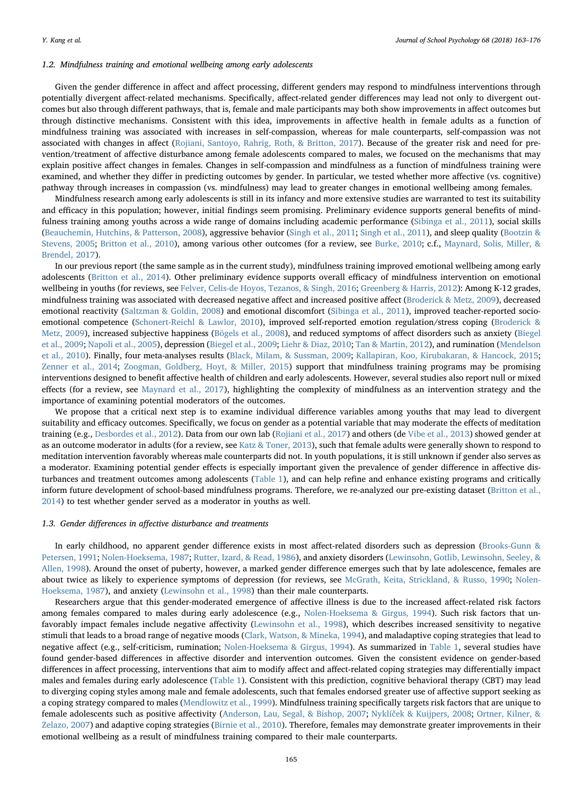#### 1.2. Mindfulness training and emotional wellbeing among early adolescents

Given the gender difference in affect and affect processing, different genders may respond to mindfulness interventions through potentially divergent affect-related mechanisms. Specifically, affect-related gender differences may lead not only to divergent outcomes but also through different pathways, that is, female and male participants may both show improvements in affect outcomes but through distinctive mechanisms. Consistent with this idea, improvements in affective health in female adults as a function of mindfulness training was associated with increases in self-compassion, whereas for male counterparts, self-compassion was not associated with changes in affect ([Rojiani, Santoyo, Rahrig, Roth, & Britton, 2017\)](#page-13-13). Because of the greater risk and need for prevention/treatment of affective disturbance among female adolescents compared to males, we focused on the mechanisms that may explain positive affect changes in females. Changes in self-compassion and mindfulness as a function of mindfulness training were examined, and whether they differ in predicting outcomes by gender. In particular, we tested whether more affective (vs. cognitive) pathway through increases in compassion (vs. mindfulness) may lead to greater changes in emotional wellbeing among females.

Mindfulness research among early adolescents is still in its infancy and more extensive studies are warranted to test its suitability and efficacy in this population; however, initial findings seem promising. Preliminary evidence supports general benefits of mindfulness training among youths across a wide range of domains including academic performance ([Sibinga et al., 2011\)](#page-13-14), social skills ([Beauchemin, Hutchins, & Patterson, 2008\)](#page-11-12), aggressive behavior ([Singh et al., 2011](#page-13-15); [Singh et al., 2011](#page-13-16)), and sleep quality ([Bootzin &](#page-11-13) [Stevens, 2005;](#page-11-13) [Britton et al., 2010\)](#page-11-14), among various other outcomes (for a review, see [Burke, 2010](#page-11-5); c.f., [Maynard, Solis, Miller, &](#page-12-12) [Brendel, 2017\)](#page-12-12).

In our previous report (the same sample as in the current study), mindfulness training improved emotional wellbeing among early adolescents [\(Britton et al., 2014\)](#page-11-11). Other preliminary evidence supports overall efficacy of mindfulness intervention on emotional wellbeing in youths (for reviews, see [Felver, Celis-de Hoyos, Tezanos, & Singh, 2016;](#page-12-13) [Greenberg & Harris, 2012](#page-12-14)): Among K-12 grades, mindfulness training was associated with decreased negative affect and increased positive affect ([Broderick & Metz, 2009](#page-11-4)), decreased emotional reactivity [\(Saltzman & Goldin, 2008](#page-13-3)) and emotional discomfort [\(Sibinga et al., 2011](#page-13-14)), improved teacher-reported socioemotional competence [\(Schonert-Reichl & Lawlor, 2010\)](#page-13-4), improved self-reported emotion regulation/stress coping ([Broderick &](#page-11-4) [Metz, 2009\)](#page-11-4), increased subjective happiness (Bögels [et al., 2008](#page-11-3)), and reduced symptoms of affect disorders such as anxiety ([Biegel](#page-11-2) [et al., 2009](#page-11-2); [Napoli et al., 2005\)](#page-12-1), depression [\(Biegel et al., 2009;](#page-11-2) [Liehr & Diaz, 2010](#page-12-15); [Tan & Martin, 2012\)](#page-13-17), and rumination [\(Mendelson](#page-12-10) [et al., 2010\)](#page-12-10). Finally, four meta-analyses results ([Black, Milam, & Sussman, 2009;](#page-11-15) [Kallapiran, Koo, Kirubakaran, & Hancock, 2015;](#page-12-16) [Zenner et al., 2014;](#page-13-10) [Zoogman, Goldberg, Hoyt, & Miller, 2015\)](#page-13-18) support that mindfulness training programs may be promising interventions designed to benefit affective health of children and early adolescents. However, several studies also report null or mixed effects (for a review, see [Maynard et al., 2017](#page-12-12)), highlighting the complexity of mindfulness as an intervention strategy and the importance of examining potential moderators of the outcomes.

We propose that a critical next step is to examine individual difference variables among youths that may lead to divergent suitability and efficacy outcomes. Specifically, we focus on gender as a potential variable that may moderate the effects of meditation training (e.g., [Desbordes et al., 2012](#page-11-16)). Data from our own lab [\(Rojiani et al., 2017](#page-13-13)) and others (de [Vibe et al., 2013\)](#page-11-17) showed gender at as an outcome moderator in adults (for a review, see [Katz & Toner, 2013](#page-12-17)), such that female adults were generally shown to respond to meditation intervention favorably whereas male counterparts did not. In youth populations, it is still unknown if gender also serves as a moderator. Examining potential gender effects is especially important given the prevalence of gender difference in affective disturbances and treatment outcomes among adolescents ([Table 1](#page-3-0)), and can help refine and enhance existing programs and critically inform future development of school-based mindfulness programs. Therefore, we re-analyzed our pre-existing dataset ([Britton et al.,](#page-11-11) [2014\)](#page-11-11) to test whether gender served as a moderator in youths as well.

#### 1.3. Gender differences in affective disturbance and treatments

In early childhood, no apparent gender difference exists in most affect-related disorders such as depression ([Brooks-Gunn &](#page-11-18) [Petersen, 1991;](#page-11-18) [Nolen-Hoeksema, 1987;](#page-12-18) [Rutter, Izard, & Read, 1986](#page-13-19)), and anxiety disorders [\(Lewinsohn, Gotlib, Lewinsohn, Seeley, &](#page-12-19) [Allen, 1998\)](#page-12-19). Around the onset of puberty, however, a marked gender difference emerges such that by late adolescence, females are about twice as likely to experience symptoms of depression (for reviews, see [McGrath, Keita, Strickland, & Russo, 1990](#page-12-20); [Nolen-](#page-12-18)[Hoeksema, 1987](#page-12-18)), and anxiety [\(Lewinsohn et al., 1998\)](#page-12-19) than their male counterparts.

Researchers argue that this gender-moderated emergence of affective illness is due to the increased affect-related risk factors among females compared to males during early adolescence (e.g., [Nolen-Hoeksema & Girgus, 1994](#page-12-21)). Such risk factors that unfavorably impact females include negative affectivity [\(Lewinsohn et al., 1998](#page-12-19)), which describes increased sensitivity to negative stimuli that leads to a broad range of negative moods [\(Clark, Watson, & Mineka, 1994](#page-11-19)), and maladaptive coping strategies that lead to negative affect (e.g., self-criticism, rumination; [Nolen-Hoeksema & Girgus, 1994\)](#page-12-21). As summarized in [Table 1](#page-3-0), several studies have found gender-based differences in affective disorder and intervention outcomes. Given the consistent evidence on gender-based differences in affect processing, interventions that aim to modify affect and affect-related coping strategies may differentially impact males and females during early adolescence [\(Table 1\)](#page-3-0). Consistent with this prediction, cognitive behavioral therapy (CBT) may lead to diverging coping styles among male and female adolescents, such that females endorsed greater use of affective support seeking as a coping strategy compared to males [\(Mendlowitz et al., 1999](#page-12-22)). Mindfulness training specifically targets risk factors that are unique to female adolescents such as positive affectivity ([Anderson, Lau, Segal, & Bishop, 2007](#page-11-20); Nyklíč[ek & Kuijpers, 2008;](#page-12-23) [Ortner, Kilner, &](#page-13-20) [Zelazo, 2007](#page-13-20)) and adaptive coping strategies [\(Birnie et al., 2010](#page-11-7)). Therefore, females may demonstrate greater improvements in their emotional wellbeing as a result of mindfulness training compared to their male counterparts.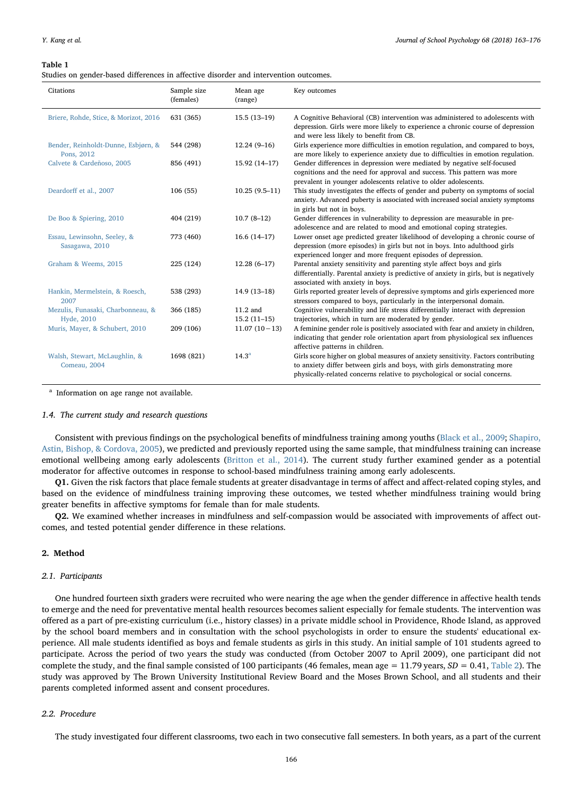# <span id="page-3-0"></span>Table 1

|  | Studies on gender-based differences in affective disorder and intervention outcomes. |  |  |  |  |
|--|--------------------------------------------------------------------------------------|--|--|--|--|
|  |                                                                                      |  |  |  |  |

| Citations                                         | Sample size<br>(females) | Mean age<br>(range)         | Key outcomes                                                                                                                                                                                                                               |
|---------------------------------------------------|--------------------------|-----------------------------|--------------------------------------------------------------------------------------------------------------------------------------------------------------------------------------------------------------------------------------------|
| Briere, Rohde, Stice, & Morizot, 2016             | 631 (365)                | $15.5(13-19)$               | A Cognitive Behavioral (CB) intervention was administered to adolescents with<br>depression. Girls were more likely to experience a chronic course of depression<br>and were less likely to benefit from CB.                               |
| Bender, Reinholdt-Dunne, Esbjørn, &<br>Pons, 2012 | 544 (298)                | $12.24(9-16)$               | Girls experience more difficulties in emotion regulation, and compared to boys,<br>are more likely to experience anxiety due to difficulties in emotion regulation.                                                                        |
| Calvete & Cardeñoso, 2005                         | 856 (491)                | 15.92 (14-17)               | Gender differences in depression were mediated by negative self-focused<br>cognitions and the need for approval and success. This pattern was more<br>prevalent in younger adolescents relative to older adolescents.                      |
| Deardorff et al., 2007                            | 106(55)                  | $10.25(9.5-11)$             | This study investigates the effects of gender and puberty on symptoms of social<br>anxiety. Advanced puberty is associated with increased social anxiety symptoms<br>in girls but not in boys.                                             |
| De Boo & Spiering, 2010                           | 404 (219)                | $10.7(8-12)$                | Gender differences in vulnerability to depression are measurable in pre-<br>adolescence and are related to mood and emotional coping strategies.                                                                                           |
| Essau, Lewinsohn, Seeley, &<br>Sasagawa, 2010     | 773 (460)                | $16.6(14-17)$               | Lower onset age predicted greater likelihood of developing a chronic course of<br>depression (more episodes) in girls but not in boys. Into adulthood girls<br>experienced longer and more frequent episodes of depression.                |
| Graham & Weems, 2015                              | 225 (124)                | $12.28(6-17)$               | Parental anxiety sensitivity and parenting style affect boys and girls<br>differentially. Parental anxiety is predictive of anxiety in girls, but is negatively<br>associated with anxiety in boys.                                        |
| Hankin, Mermelstein, & Roesch,<br>2007            | 538 (293)                | $14.9(13-18)$               | Girls reported greater levels of depressive symptoms and girls experienced more<br>stressors compared to boys, particularly in the interpersonal domain.                                                                                   |
| Mezulis, Funasaki, Charbonneau, &<br>Hyde, 2010   | 366 (185)                | $11.2$ and<br>$15.2(11-15)$ | Cognitive vulnerability and life stress differentially interact with depression<br>trajectories, which in turn are moderated by gender.                                                                                                    |
| Muris, Mayer, & Schubert, 2010                    | 209 (106)                | $11.07(10-13)$              | A feminine gender role is positively associated with fear and anxiety in children,<br>indicating that gender role orientation apart from physiological sex influences<br>affective patterns in children.                                   |
| Walsh, Stewart, McLaughlin, &<br>Comeau, 2004     | 1698 (821)               | $14.3^{\circ}$              | Girls score higher on global measures of anxiety sensitivity. Factors contributing<br>to anxiety differ between girls and boys, with girls demonstrating more<br>physically-related concerns relative to psychological or social concerns. |

<span id="page-3-1"></span><sup>a</sup> Information on age range not available.

## 1.4. The current study and research questions

Consistent with previous findings on the psychological benefits of mindfulness training among youths [\(Black et al., 2009;](#page-11-15) [Shapiro,](#page-13-21) [Astin, Bishop, & Cordova, 2005\)](#page-13-21), we predicted and previously reported using the same sample, that mindfulness training can increase emotional wellbeing among early adolescents [\(Britton et al., 2014](#page-11-11)). The current study further examined gender as a potential moderator for affective outcomes in response to school-based mindfulness training among early adolescents.

Q1. Given the risk factors that place female students at greater disadvantage in terms of affect and affect-related coping styles, and based on the evidence of mindfulness training improving these outcomes, we tested whether mindfulness training would bring greater benefits in affective symptoms for female than for male students.

Q2. We examined whether increases in mindfulness and self-compassion would be associated with improvements of affect outcomes, and tested potential gender difference in these relations.

## 2. Method

## 2.1. Participants

One hundred fourteen sixth graders were recruited who were nearing the age when the gender difference in affective health tends to emerge and the need for preventative mental health resources becomes salient especially for female students. The intervention was offered as a part of pre-existing curriculum (i.e., history classes) in a private middle school in Providence, Rhode Island, as approved by the school board members and in consultation with the school psychologists in order to ensure the students' educational experience. All male students identified as boys and female students as girls in this study. An initial sample of 101 students agreed to participate. Across the period of two years the study was conducted (from October 2007 to April 2009), one participant did not complete the study, and the final sample consisted of 100 participants (46 females, mean age = 11.79 years,  $SD = 0.41$ , [Table 2\)](#page-4-0). The study was approved by The Brown University Institutional Review Board and the Moses Brown School, and all students and their parents completed informed assent and consent procedures.

## 2.2. Procedure

The study investigated four different classrooms, two each in two consecutive fall semesters. In both years, as a part of the current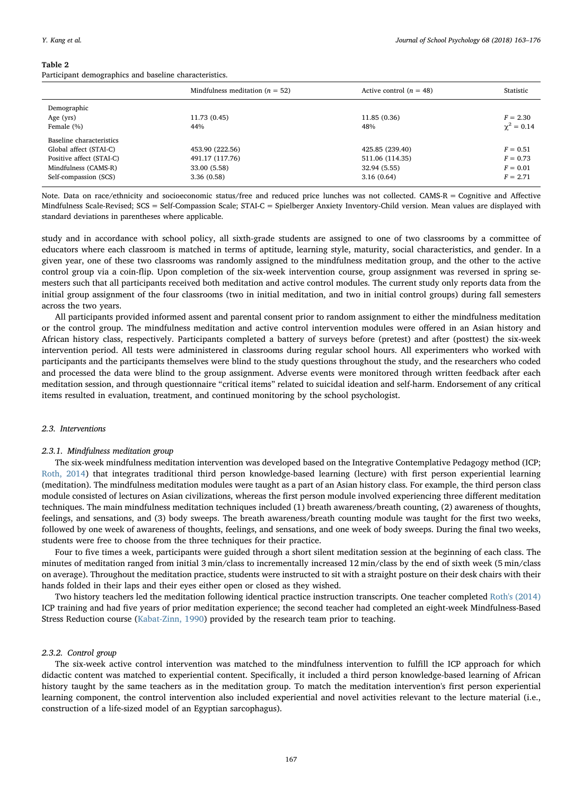# <span id="page-4-0"></span>Table 2 Participant demographics and baseline characteristics.

|                                                                                                                                 | Mindfulness meditation ( $n = 52$ )                              | Active control $(n = 48)$                                        | Statistic                                            |
|---------------------------------------------------------------------------------------------------------------------------------|------------------------------------------------------------------|------------------------------------------------------------------|------------------------------------------------------|
| Demographic<br>Age (yrs)<br>Female (%)                                                                                          | 11.73 (0.45)<br>44%                                              | 11.85 (0.36)<br>48%                                              | $F = 2.30$<br>$\gamma^2 = 0.14$                      |
| Baseline characteristics<br>Global affect (STAI-C)<br>Positive affect (STAI-C)<br>Mindfulness (CAMS-R)<br>Self-compassion (SCS) | 453.90 (222.56)<br>491.17 (117.76)<br>33.00 (5.58)<br>3.36(0.58) | 425.85 (239.40)<br>511.06 (114.35)<br>32.94 (5.55)<br>3.16(0.64) | $F = 0.51$<br>$F = 0.73$<br>$F = 0.01$<br>$F = 2.71$ |

Note. Data on race/ethnicity and socioeconomic status/free and reduced price lunches was not collected. CAMS-R = Cognitive and Affective Mindfulness Scale-Revised; SCS = Self-Compassion Scale; STAI-C = Spielberger Anxiety Inventory-Child version. Mean values are displayed with standard deviations in parentheses where applicable.

study and in accordance with school policy, all sixth-grade students are assigned to one of two classrooms by a committee of educators where each classroom is matched in terms of aptitude, learning style, maturity, social characteristics, and gender. In a given year, one of these two classrooms was randomly assigned to the mindfulness meditation group, and the other to the active control group via a coin-flip. Upon completion of the six-week intervention course, group assignment was reversed in spring semesters such that all participants received both meditation and active control modules. The current study only reports data from the initial group assignment of the four classrooms (two in initial meditation, and two in initial control groups) during fall semesters across the two years.

All participants provided informed assent and parental consent prior to random assignment to either the mindfulness meditation or the control group. The mindfulness meditation and active control intervention modules were offered in an Asian history and African history class, respectively. Participants completed a battery of surveys before (pretest) and after (posttest) the six-week intervention period. All tests were administered in classrooms during regular school hours. All experimenters who worked with participants and the participants themselves were blind to the study questions throughout the study, and the researchers who coded and processed the data were blind to the group assignment. Adverse events were monitored through written feedback after each meditation session, and through questionnaire "critical items" related to suicidal ideation and self-harm. Endorsement of any critical items resulted in evaluation, treatment, and continued monitoring by the school psychologist.

## 2.3. Interventions

# 2.3.1. Mindfulness meditation group

The six-week mindfulness meditation intervention was developed based on the Integrative Contemplative Pedagogy method (ICP; [Roth, 2014\)](#page-13-23) that integrates traditional third person knowledge-based learning (lecture) with first person experiential learning (meditation). The mindfulness meditation modules were taught as a part of an Asian history class. For example, the third person class module consisted of lectures on Asian civilizations, whereas the first person module involved experiencing three different meditation techniques. The main mindfulness meditation techniques included (1) breath awareness/breath counting, (2) awareness of thoughts, feelings, and sensations, and (3) body sweeps. The breath awareness/breath counting module was taught for the first two weeks, followed by one week of awareness of thoughts, feelings, and sensations, and one week of body sweeps. During the final two weeks, students were free to choose from the three techniques for their practice.

Four to five times a week, participants were guided through a short silent meditation session at the beginning of each class. The minutes of meditation ranged from initial 3 min/class to incrementally increased 12 min/class by the end of sixth week (5 min/class on average). Throughout the meditation practice, students were instructed to sit with a straight posture on their desk chairs with their hands folded in their laps and their eyes either open or closed as they wished.

Two history teachers led the meditation following identical practice instruction transcripts. One teacher completed [Roth's \(2014\)](#page-13-23) ICP training and had five years of prior meditation experience; the second teacher had completed an eight-week Mindfulness-Based Stress Reduction course ([Kabat-Zinn, 1990](#page-12-4)) provided by the research team prior to teaching.

## 2.3.2. Control group

The six-week active control intervention was matched to the mindfulness intervention to fulfill the ICP approach for which didactic content was matched to experiential content. Specifically, it included a third person knowledge-based learning of African history taught by the same teachers as in the meditation group. To match the meditation intervention's first person experiential learning component, the control intervention also included experiential and novel activities relevant to the lecture material (i.e., construction of a life-sized model of an Egyptian sarcophagus).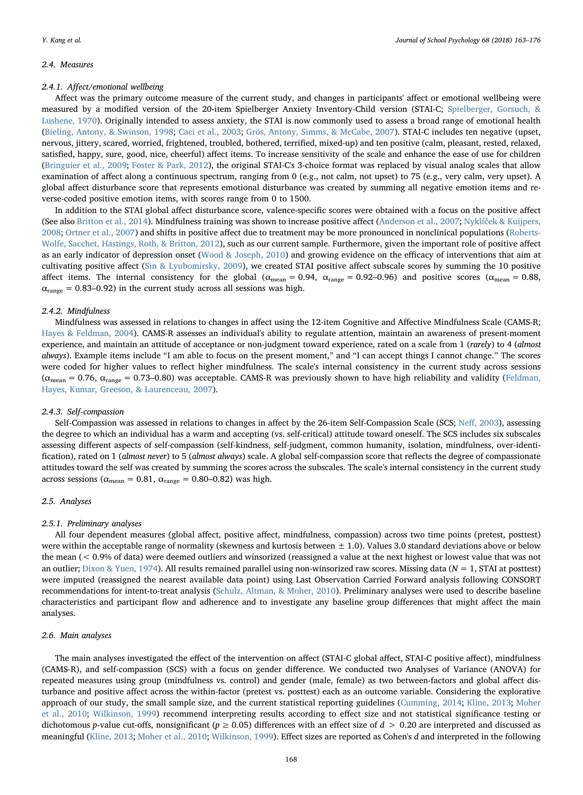## 2.4. Measures

## 2.4.1. Affect/emotional wellbeing

Affect was the primary outcome measure of the current study, and changes in participants' affect or emotional wellbeing were measured by a modified version of the 20-item Spielberger Anxiety Inventory-Child version (STAI-C; [Spielberger, Gorsuch, &](#page-13-24) [Lushene, 1970\)](#page-13-24). Originally intended to assess anxiety, the STAI is now commonly used to assess a broad range of emotional health ([Bieling, Antony, & Swinson, 1998](#page-11-26); [Caci et al., 2003](#page-11-27); [Grös, Antony, Simms, & McCabe, 2007\)](#page-12-29). STAI-C includes ten negative (upset, nervous, jittery, scared, worried, frightened, troubled, bothered, terrified, mixed-up) and ten positive (calm, pleasant, rested, relaxed, satisfied, happy, sure, good, nice, cheerful) affect items. To increase sensitivity of the scale and enhance the ease of use for children ([Bringuier et al., 2009](#page-11-28); [Foster & Park, 2012\)](#page-12-30), the original STAI-C's 3-choice format was replaced by visual analog scales that allow examination of affect along a continuous spectrum, ranging from 0 (e.g., not calm, not upset) to 75 (e.g., very calm, very upset). A global affect disturbance score that represents emotional disturbance was created by summing all negative emotion items and reverse-coded positive emotion items, with scores range from 0 to 1500.

In addition to the STAI global affect disturbance score, valence-specific scores were obtained with a focus on the positive affect (See also [Britton et al., 2014\)](#page-11-11). Mindfulness training was shown to increase positive affect [\(Anderson et al., 2007](#page-11-20); Nyklíč[ek & Kuijpers,](#page-12-23) [2008;](#page-12-23) [Ortner et al., 2007](#page-13-20)) and shifts in positive affect due to treatment may be more pronounced in nonclinical populations ([Roberts-](#page-13-25)[Wolfe, Sacchet, Hastings, Roth, & Britton, 2012](#page-13-25)), such as our current sample. Furthermore, given the important role of positive affect as an early indicator of depression onset [\(Wood & Joseph, 2010](#page-13-26)) and growing evidence on the efficacy of interventions that aim at cultivating positive affect [\(Sin & Lyubomirsky, 2009](#page-13-27)), we created STAI positive affect subscale scores by summing the 10 positive affect items. The internal consistency for the global ( $\alpha_{\text{mean}} = 0.94$ ,  $\alpha_{\text{range}} = 0.92$ –0.96) and positive scores ( $\alpha_{\text{mean}} = 0.88$ ,  $\alpha_{\text{range}} = 0.83{\text -}0.92$ ) in the current study across all sessions was high.

#### 2.4.2. Mindfulness

Mindfulness was assessed in relations to changes in affect using the 12-item Cognitive and Affective Mindfulness Scale (CAMS-R; [Hayes & Feldman, 2004\)](#page-12-31). CAMS-R assesses an individual's ability to regulate attention, maintain an awareness of present-moment experience, and maintain an attitude of acceptance or non-judgment toward experience, rated on a scale from 1 (rarely) to 4 (almost always). Example items include "I am able to focus on the present moment," and "I can accept things I cannot change." The scores were coded for higher values to reflect higher mindfulness. The scale's internal consistency in the current study across sessions  $(\alpha_{\text{mean}} = 0.76, \alpha_{\text{range}} = 0.73$ –0.80) was acceptable. CAMS-R was previously shown to have high reliability and validity ([Feldman,](#page-12-32) [Hayes, Kumar, Greeson, & Laurenceau, 2007\)](#page-12-32).

#### 2.4.3. Self-compassion

Self-Compassion was assessed in relations to changes in affect by the 26-item Self-Compassion Scale (SCS; Neff[, 2003\)](#page-12-5), assessing the degree to which an individual has a warm and accepting (vs. self-critical) attitude toward oneself. The SCS includes six subscales assessing different aspects of self-compassion (self-kindness, self-judgment, common humanity, isolation, mindfulness, over-identification), rated on 1 (almost never) to 5 (almost always) scale. A global self-compassion score that reflects the degree of compassionate attitudes toward the self was created by summing the scores across the subscales. The scale's internal consistency in the current study across sessions ( $\alpha_{\text{mean}} = 0.81$ ,  $\alpha_{\text{range}} = 0.80 - 0.82$ ) was high.

## 2.5. Analyses

#### 2.5.1. Preliminary analyses

All four dependent measures (global affect, positive affect, mindfulness, compassion) across two time points (pretest, posttest) were within the acceptable range of normality (skewness and kurtosis between  $\pm$  1.0). Values 3.0 standard deviations above or below the mean (< 0.9% of data) were deemed outliers and winsorized (reassigned a value at the next highest or lowest value that was not an outlier; [Dixon & Yuen, 1974](#page-11-29)). All results remained parallel using non-winsorized raw scores. Missing data ( $N = 1$ , STAI at posttest) were imputed (reassigned the nearest available data point) using Last Observation Carried Forward analysis following CONSORT recommendations for intent-to-treat analysis ([Schulz, Altman, & Moher, 2010\)](#page-13-28). Preliminary analyses were used to describe baseline characteristics and participant flow and adherence and to investigate any baseline group differences that might affect the main analyses.

# 2.6. Main analyses

The main analyses investigated the effect of the intervention on affect (STAI-C global affect, STAI-C positive affect), mindfulness (CAMS-R), and self-compassion (SCS) with a focus on gender difference. We conducted two Analyses of Variance (ANOVA) for repeated measures using group (mindfulness vs. control) and gender (male, female) as two between-factors and global affect disturbance and positive affect across the within-factor (pretest vs. posttest) each as an outcome variable. Considering the explorative approach of our study, the small sample size, and the current statistical reporting guidelines [\(Cumming, 2014](#page-11-30); [Kline, 2013](#page-12-33); [Moher](#page-12-34) [et al., 2010](#page-12-34); [Wilkinson, 1999\)](#page-13-29) recommend interpreting results according to effect size and not statistical significance testing or dichotomous p-value cut-offs, nonsignificant ( $p \ge 0.05$ ) differences with an effect size of  $d > 0.20$  are interpreted and discussed as meaningful ([Kline, 2013](#page-12-33); [Moher et al., 2010](#page-12-34); [Wilkinson, 1999](#page-13-29)). Effect sizes are reported as Cohen's d and interpreted in the following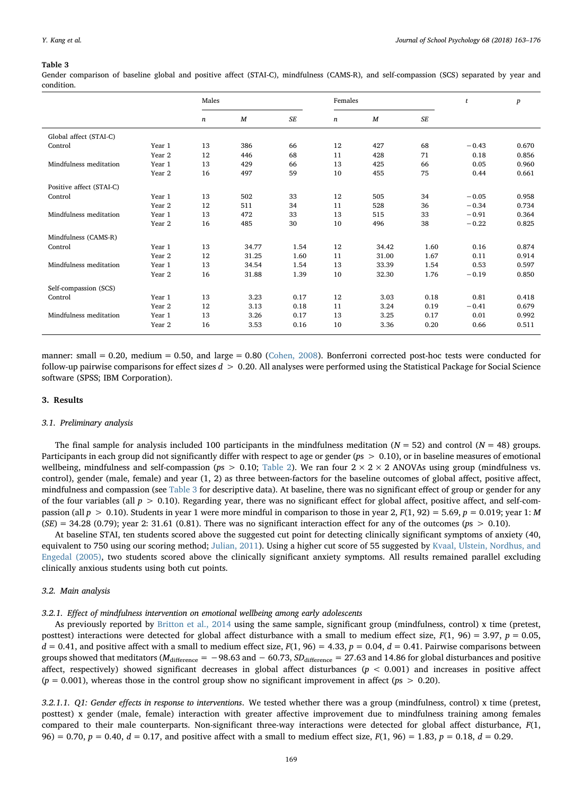## <span id="page-6-0"></span>Table 3

Gender comparison of baseline global and positive affect (STAI-C), mindfulness (CAMS-R), and self-compassion (SCS) separated by year and condition.

|                          |                   | Males |       | Females   |    |                  |      | $\boldsymbol{t}$ | $\boldsymbol{p}$ |
|--------------------------|-------------------|-------|-------|-----------|----|------------------|------|------------------|------------------|
|                          |                   | n     | M     | $\cal SE$ | n  | $\boldsymbol{M}$ | SE   |                  |                  |
| Global affect (STAI-C)   |                   |       |       |           |    |                  |      |                  |                  |
| Control                  | Year 1            | 13    | 386   | 66        | 12 | 427              | 68   | $-0.43$          | 0.670            |
|                          | Year 2            | 12    | 446   | 68        | 11 | 428              | 71   | 0.18             | 0.856            |
| Mindfulness meditation   | Year 1            | 13    | 429   | 66        | 13 | 425              | 66   | 0.05             | 0.960            |
|                          | Year 2            | 16    | 497   | 59        | 10 | 455              | 75   | 0.44             | 0.661            |
| Positive affect (STAI-C) |                   |       |       |           |    |                  |      |                  |                  |
| Control                  | Year 1            | 13    | 502   | 33        | 12 | 505              | 34   | $-0.05$          | 0.958            |
|                          | Year <sub>2</sub> | 12    | 511   | 34        | 11 | 528              | 36   | $-0.34$          | 0.734            |
| Mindfulness meditation   | Year 1            | 13    | 472   | 33        | 13 | 515              | 33   | $-0.91$          | 0.364            |
|                          | Year 2            | 16    | 485   | 30        | 10 | 496              | 38   | $-0.22$          | 0.825            |
| Mindfulness (CAMS-R)     |                   |       |       |           |    |                  |      |                  |                  |
| Control                  | Year 1            | 13    | 34.77 | 1.54      | 12 | 34.42            | 1.60 | 0.16             | 0.874            |
|                          | Year 2            | 12    | 31.25 | 1.60      | 11 | 31.00            | 1.67 | 0.11             | 0.914            |
| Mindfulness meditation   | Year 1            | 13    | 34.54 | 1.54      | 13 | 33.39            | 1.54 | 0.53             | 0.597            |
|                          | Year 2            | 16    | 31.88 | 1.39      | 10 | 32.30            | 1.76 | $-0.19$          | 0.850            |
| Self-compassion (SCS)    |                   |       |       |           |    |                  |      |                  |                  |
| Control                  | Year 1            | 13    | 3.23  | 0.17      | 12 | 3.03             | 0.18 | 0.81             | 0.418            |
|                          | Year 2            | 12    | 3.13  | 0.18      | 11 | 3.24             | 0.19 | $-0.41$          | 0.679            |
| Mindfulness meditation   | Year 1            | 13    | 3.26  | 0.17      | 13 | 3.25             | 0.17 | 0.01             | 0.992            |
|                          | Year 2            | 16    | 3.53  | 0.16      | 10 | 3.36             | 0.20 | 0.66             | 0.511            |

manner: small = 0.20, medium = 0.50, and large = 0.80 ([Cohen, 2008\)](#page-11-31). Bonferroni corrected post-hoc tests were conducted for follow-up pairwise comparisons for effect sizes  $d > 0.20$ . All analyses were performed using the Statistical Package for Social Science software (SPSS; IBM Corporation).

## 3. Results

#### 3.1. Preliminary analysis

The final sample for analysis included 100 participants in the mindfulness meditation  $(N = 52)$  and control  $(N = 48)$  groups. Participants in each group did not significantly differ with respect to age or gender ( $ps > 0.10$ ), or in baseline measures of emotional wellbeing, mindfulness and self-compassion (ps  $> 0.10$ ; [Table 2](#page-4-0)). We ran four  $2 \times 2 \times 2$  ANOVAs using group (mindfulness vs. control), gender (male, female) and year (1, 2) as three between-factors for the baseline outcomes of global affect, positive affect, mindfulness and compassion (see [Table 3](#page-6-0) for descriptive data). At baseline, there was no significant effect of group or gender for any of the four variables (all  $p > 0.10$ ). Regarding year, there was no significant effect for global affect, positive affect, and self-compassion (all  $p > 0.10$ ). Students in year 1 were more mindful in comparison to those in year 2,  $F(1, 92) = 5.69$ ,  $p = 0.019$ ; year 1: M  $(SE) = 34.28$  (0.79); year 2: 31.61 (0.81). There was no significant interaction effect for any of the outcomes (ps > 0.10).

At baseline STAI, ten students scored above the suggested cut point for detecting clinically significant symptoms of anxiety (40, equivalent to 750 using our scoring method; [Julian, 2011\)](#page-12-35). Using a higher cut score of 55 suggested by [Kvaal, Ulstein, Nordhus, and](#page-12-36) [Engedal \(2005\),](#page-12-36) two students scored above the clinically significant anxiety symptoms. All results remained parallel excluding clinically anxious students using both cut points.

## 3.2. Main analysis

3.2.1. Effect of mindfulness intervention on emotional wellbeing among early adolescents

As previously reported by [Britton et al., 2014](#page-11-11) using the same sample, significant group (mindfulness, control) x time (pretest, posttest) interactions were detected for global affect disturbance with a small to medium effect size,  $F(1, 96) = 3.97$ ,  $p = 0.05$ ,  $d = 0.41$ , and positive affect with a small to medium effect size,  $F(1, 96) = 4.33$ ,  $p = 0.04$ ,  $d = 0.41$ . Pairwise comparisons between groups showed that meditators ( $M_{\text{difference}} = -98.63$  and  $-60.73$ ,  $SD_{\text{difference}} = 27.63$  and 14.86 for global disturbances and positive affect, respectively) showed significant decreases in global affect disturbances ( $p < 0.001$ ) and increases in positive affect  $(p = 0.001)$ , whereas those in the control group show no significant improvement in affect (ps  $> 0.20$ ).

3.2.1.1. Q1: Gender effects in response to interventions. We tested whether there was a group (mindfulness, control) x time (pretest, posttest) x gender (male, female) interaction with greater affective improvement due to mindfulness training among females compared to their male counterparts. Non-significant three-way interactions were detected for global affect disturbance,  $F(1)$ , 96) = 0.70,  $p = 0.40$ ,  $d = 0.17$ , and positive affect with a small to medium effect size,  $F(1, 96) = 1.83$ ,  $p = 0.18$ ,  $d = 0.29$ .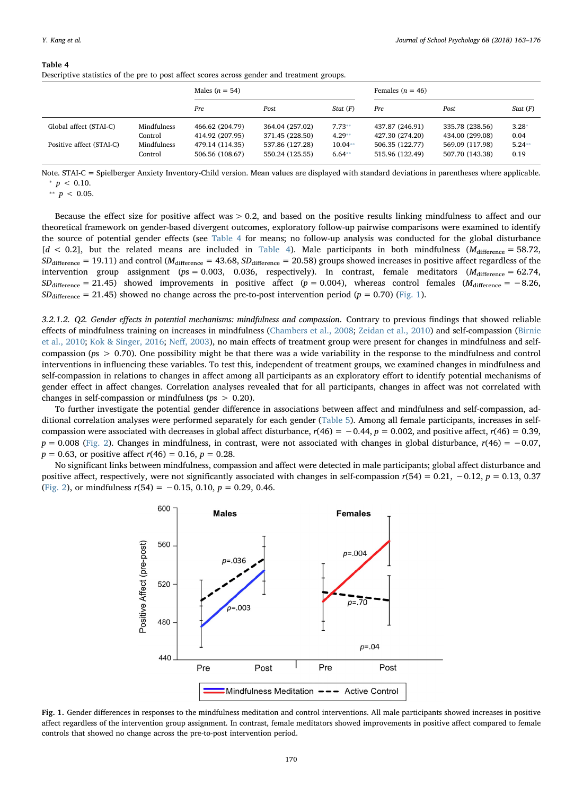## <span id="page-7-0"></span>Table 4

|  | Descriptive statistics of the pre to post affect scores across gender and treatment groups. |  |
|--|---------------------------------------------------------------------------------------------|--|
|  |                                                                                             |  |

|                          |             | Males $(n = 54)$ |                 |           | Females $(n = 46)$ |                 |          |  |  |
|--------------------------|-------------|------------------|-----------------|-----------|--------------------|-----------------|----------|--|--|
|                          |             | Pre              | Post            | Stat(F)   | Pre                | Post            | Stat(F)  |  |  |
| Global affect (STAI-C)   | Mindfulness | 466.62 (204.79)  | 364.04 (257.02) | $7.73**$  | 437.87 (246.91)    | 335.78 (238.56) | $3.28*$  |  |  |
|                          | Control     | 414.92 (207.95)  | 371.45 (228.50) | $4.29**$  | 427.30 (274.20)    | 434.00 (299.08) | 0.04     |  |  |
| Positive affect (STAI-C) | Mindfulness | 479.14 (114.35)  | 537.86 (127.28) | $10.04**$ | 506.35 (122.77)    | 569.09 (117.98) | $5.24**$ |  |  |
|                          | Control     | 506.56 (108.67)  | 550.24 (125.55) | $6.64**$  | 515.96 (122.49)    | 507.70 (143.38) | 0.19     |  |  |

<span id="page-7-3"></span>Note. STAI-C = Spielberger Anxiety Inventory-Child version. Mean values are displayed with standard deviations in parentheses where applicable.  $p < 0.10$ .

<span id="page-7-2"></span>\*\*  $p$  < 0.05.

Because the effect size for positive affect was > 0.2, and based on the positive results linking mindfulness to affect and our theoretical framework on gender-based divergent outcomes, exploratory follow-up pairwise comparisons were examined to identify the source of potential gender effects (see [Table 4](#page-7-0) for means; no follow-up analysis was conducted for the global disturbance  $[d < 0.2]$ , but the related means are included in [Table 4](#page-7-0)). Male participants in both mindfulness ( $M<sub>difference</sub> = 58.72$ ,  $SD_{difference} = 19.11$ ) and control ( $M_{difference} = 43.68$ ,  $SD_{difference} = 20.58$ ) groups showed increases in positive affect regardless of the intervention group assignment ( $ps = 0.003$ , 0.036, respectively). In contrast, female meditators ( $M<sub>difference</sub> = 62.74$ ,  $SD_{difference} = 21.45$ ) showed improvements in positive affect (p = 0.004), whereas control females (M<sub>difference</sub> = -8.26,  $SD_{difference} = 21.45$ ) showed no change across the pre-to-post intervention period ( $p = 0.70$ ) [\(Fig. 1](#page-7-1)).

3.2.1.2. Q2. Gender effects in potential mechanisms: mindfulness and compassion. Contrary to previous findings that showed reliable effects of mindfulness training on increases in mindfulness [\(Chambers et al., 2008](#page-11-6); [Zeidan et al., 2010\)](#page-13-6) and self-compassion [\(Birnie](#page-11-7) [et al., 2010](#page-11-7); [Kok & Singer, 2016](#page-12-37); Neff[, 2003\)](#page-12-5), no main effects of treatment group were present for changes in mindfulness and selfcompassion ( $ps > 0.70$ ). One possibility might be that there was a wide variability in the response to the mindfulness and control interventions in influencing these variables. To test this, independent of treatment groups, we examined changes in mindfulness and self-compassion in relations to changes in affect among all participants as an exploratory effort to identify potential mechanisms of gender effect in affect changes. Correlation analyses revealed that for all participants, changes in affect was not correlated with changes in self-compassion or mindfulness ( $ps > 0.20$ ).

To further investigate the potential gender difference in associations between affect and mindfulness and self-compassion, additional correlation analyses were performed separately for each gender ([Table 5](#page-8-0)). Among all female participants, increases in selfcompassion were associated with decreases in global affect disturbance,  $r(46) = -0.44$ ,  $p = 0.002$ , and positive affect,  $r(46) = 0.39$ ,  $p = 0.008$  [\(Fig. 2](#page-8-1)). Changes in mindfulness, in contrast, were not associated with changes in global disturbance,  $r(46) = -0.07$ ,  $p = 0.63$ , or positive affect  $r(46) = 0.16$ ,  $p = 0.28$ .

<span id="page-7-1"></span>No significant links between mindfulness, compassion and affect were detected in male participants; global affect disturbance and positive affect, respectively, were not significantly associated with changes in self-compassion  $r(54) = 0.21$ ,  $-0.12$ ,  $p = 0.13$ , 0.37 ([Fig. 2](#page-8-1)), or mindfulness  $r(54) = -0.15$ , 0.10,  $p = 0.29$ , 0.46.



Fig. 1. Gender differences in responses to the mindfulness meditation and control interventions. All male participants showed increases in positive affect regardless of the intervention group assignment. In contrast, female meditators showed improvements in positive affect compared to female controls that showed no change across the pre-to-post intervention period.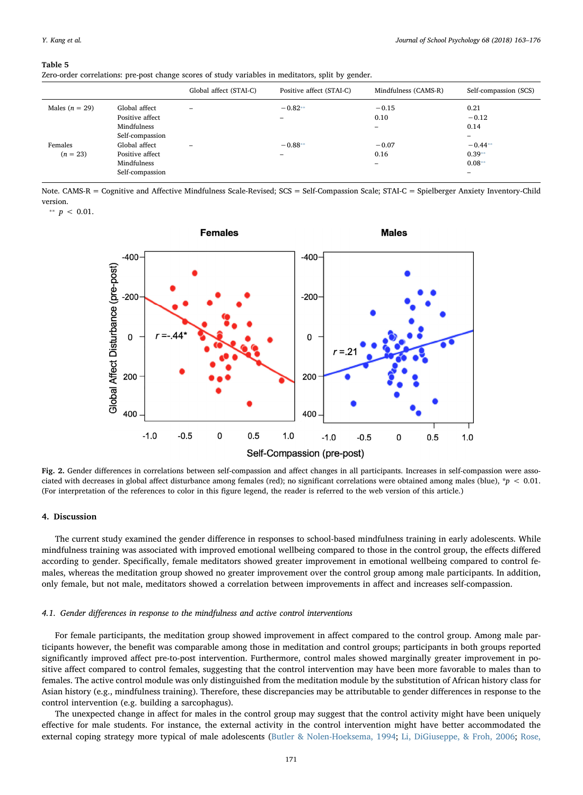<span id="page-8-0"></span>

| Table 5                                                                                            |  |
|----------------------------------------------------------------------------------------------------|--|
| Zero-order correlations: pre-post change scores of study variables in meditators, split by gender. |  |

|                       |                                                                    | Global affect (STAI-C) | Positive affect (STAI-C) | Mindfulness (CAMS-R) | Self-compassion (SCS)                  |
|-----------------------|--------------------------------------------------------------------|------------------------|--------------------------|----------------------|----------------------------------------|
| Males $(n = 29)$      | Global affect<br>Positive affect<br>Mindfulness<br>Self-compassion | -                      | $-0.82**$<br>-           | $-0.15$<br>0.10<br>- | 0.21<br>$-0.12$<br>0.14<br>-           |
| Females<br>$(n = 23)$ | Global affect<br>Positive affect<br>Mindfulness<br>Self-compassion | -                      | $-0.88**$<br>-           | $-0.07$<br>0.16<br>- | $-0.44**$<br>$0.39**$<br>$0.08**$<br>- |

Note. CAMS-R = Cognitive and Affective Mindfulness Scale-Revised; SCS = Self-Compassion Scale; STAI-C = Spielberger Anxiety Inventory-Child version.

<span id="page-8-2"></span><span id="page-8-1"></span>\*\*  $p < 0.01$ .



Fig. 2. Gender differences in correlations between self-compassion and affect changes in all participants. Increases in self-compassion were associated with decreases in global affect disturbance among females (red); no significant correlations were obtained among males (blue), \*p < 0.01. (For interpretation of the references to color in this figure legend, the reader is referred to the web version of this article.)

# 4. Discussion

The current study examined the gender difference in responses to school-based mindfulness training in early adolescents. While mindfulness training was associated with improved emotional wellbeing compared to those in the control group, the effects differed according to gender. Specifically, female meditators showed greater improvement in emotional wellbeing compared to control females, whereas the meditation group showed no greater improvement over the control group among male participants. In addition, only female, but not male, meditators showed a correlation between improvements in affect and increases self-compassion.

## 4.1. Gender differences in response to the mindfulness and active control interventions

For female participants, the meditation group showed improvement in affect compared to the control group. Among male participants however, the benefit was comparable among those in meditation and control groups; participants in both groups reported significantly improved affect pre-to-post intervention. Furthermore, control males showed marginally greater improvement in positive affect compared to control females, suggesting that the control intervention may have been more favorable to males than to females. The active control module was only distinguished from the meditation module by the substitution of African history class for Asian history (e.g., mindfulness training). Therefore, these discrepancies may be attributable to gender differences in response to the control intervention (e.g. building a sarcophagus).

The unexpected change in affect for males in the control group may suggest that the control activity might have been uniquely effective for male students. For instance, the external activity in the control intervention might have better accommodated the external coping strategy more typical of male adolescents ([Butler & Nolen-Hoeksema, 1994;](#page-11-32) [Li, DiGiuseppe, & Froh, 2006](#page-12-38); [Rose,](#page-13-30)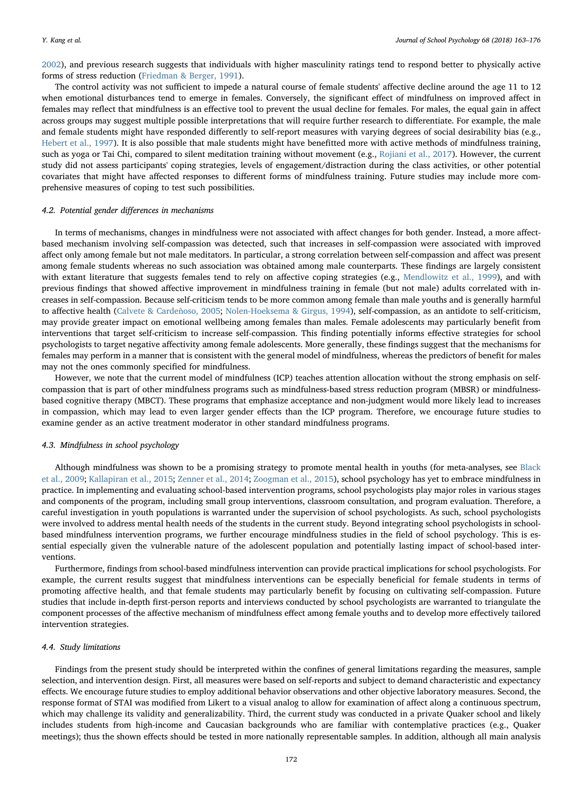[2002\)](#page-13-30), and previous research suggests that individuals with higher masculinity ratings tend to respond better to physically active forms of stress reduction ([Friedman & Berger, 1991\)](#page-12-39).

The control activity was not sufficient to impede a natural course of female students' affective decline around the age 11 to 12 when emotional disturbances tend to emerge in females. Conversely, the significant effect of mindfulness on improved affect in females may reflect that mindfulness is an effective tool to prevent the usual decline for females. For males, the equal gain in affect across groups may suggest multiple possible interpretations that will require further research to differentiate. For example, the male and female students might have responded differently to self-report measures with varying degrees of social desirability bias (e.g., [Hebert et al., 1997\)](#page-12-40). It is also possible that male students might have benefitted more with active methods of mindfulness training, such as yoga or Tai Chi, compared to silent meditation training without movement (e.g., [Rojiani et al., 2017](#page-13-13)). However, the current study did not assess participants' coping strategies, levels of engagement/distraction during the class activities, or other potential covariates that might have affected responses to different forms of mindfulness training. Future studies may include more comprehensive measures of coping to test such possibilities.

#### 4.2. Potential gender differences in mechanisms

In terms of mechanisms, changes in mindfulness were not associated with affect changes for both gender. Instead, a more affectbased mechanism involving self-compassion was detected, such that increases in self-compassion were associated with improved affect only among female but not male meditators. In particular, a strong correlation between self-compassion and affect was present among female students whereas no such association was obtained among male counterparts. These findings are largely consistent with extant literature that suggests females tend to rely on affective coping strategies (e.g., [Mendlowitz et al., 1999](#page-12-22)), and with previous findings that showed affective improvement in mindfulness training in female (but not male) adults correlated with increases in self-compassion. Because self-criticism tends to be more common among female than male youths and is generally harmful to affective health [\(Calvete & Cardeñoso, 2005;](#page-11-23) [Nolen-Hoeksema & Girgus, 1994](#page-12-21)), self-compassion, as an antidote to self-criticism, may provide greater impact on emotional wellbeing among females than males. Female adolescents may particularly benefit from interventions that target self-criticism to increase self-compassion. This finding potentially informs effective strategies for school psychologists to target negative affectivity among female adolescents. More generally, these findings suggest that the mechanisms for females may perform in a manner that is consistent with the general model of mindfulness, whereas the predictors of benefit for males may not the ones commonly specified for mindfulness.

However, we note that the current model of mindfulness (ICP) teaches attention allocation without the strong emphasis on selfcompassion that is part of other mindfulness programs such as mindfulness-based stress reduction program (MBSR) or mindfulnessbased cognitive therapy (MBCT). These programs that emphasize acceptance and non-judgment would more likely lead to increases in compassion, which may lead to even larger gender effects than the ICP program. Therefore, we encourage future studies to examine gender as an active treatment moderator in other standard mindfulness programs.

# 4.3. Mindfulness in school psychology

Although mindfulness was shown to be a promising strategy to promote mental health in youths (for meta-analyses, see [Black](#page-11-15) [et al., 2009;](#page-11-15) [Kallapiran et al., 2015;](#page-12-16) [Zenner et al., 2014](#page-13-10); [Zoogman et al., 2015\)](#page-13-18), school psychology has yet to embrace mindfulness in practice. In implementing and evaluating school-based intervention programs, school psychologists play major roles in various stages and components of the program, including small group interventions, classroom consultation, and program evaluation. Therefore, a careful investigation in youth populations is warranted under the supervision of school psychologists. As such, school psychologists were involved to address mental health needs of the students in the current study. Beyond integrating school psychologists in schoolbased mindfulness intervention programs, we further encourage mindfulness studies in the field of school psychology. This is essential especially given the vulnerable nature of the adolescent population and potentially lasting impact of school-based interventions.

Furthermore, findings from school-based mindfulness intervention can provide practical implications for school psychologists. For example, the current results suggest that mindfulness interventions can be especially beneficial for female students in terms of promoting affective health, and that female students may particularly benefit by focusing on cultivating self-compassion. Future studies that include in-depth first-person reports and interviews conducted by school psychologists are warranted to triangulate the component processes of the affective mechanism of mindfulness effect among female youths and to develop more effectively tailored intervention strategies.

## 4.4. Study limitations

Findings from the present study should be interpreted within the confines of general limitations regarding the measures, sample selection, and intervention design. First, all measures were based on self-reports and subject to demand characteristic and expectancy effects. We encourage future studies to employ additional behavior observations and other objective laboratory measures. Second, the response format of STAI was modified from Likert to a visual analog to allow for examination of affect along a continuous spectrum, which may challenge its validity and generalizability. Third, the current study was conducted in a private Quaker school and likely includes students from high-income and Caucasian backgrounds who are familiar with contemplative practices (e.g., Quaker meetings); thus the shown effects should be tested in more nationally representable samples. In addition, although all main analysis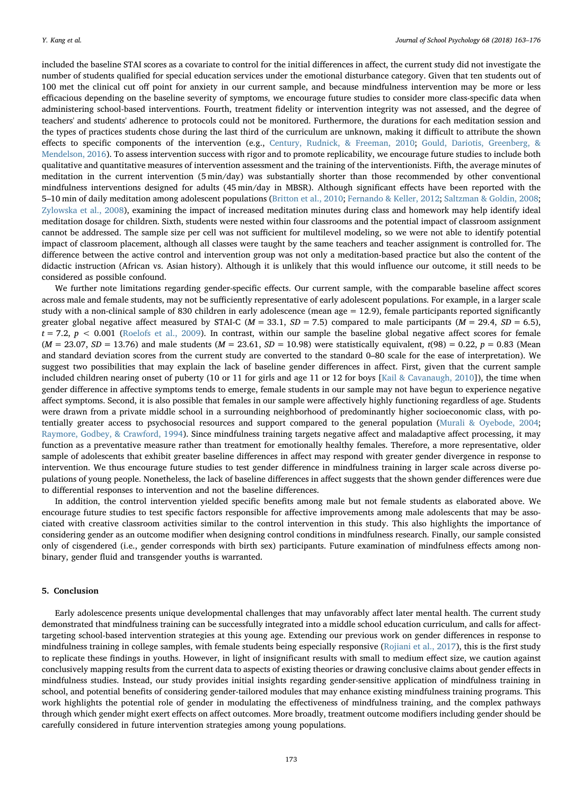included the baseline STAI scores as a covariate to control for the initial differences in affect, the current study did not investigate the number of students qualified for special education services under the emotional disturbance category. Given that ten students out of 100 met the clinical cut off point for anxiety in our current sample, and because mindfulness intervention may be more or less efficacious depending on the baseline severity of symptoms, we encourage future studies to consider more class-specific data when administering school-based interventions. Fourth, treatment fidelity or intervention integrity was not assessed, and the degree of teachers' and students' adherence to protocols could not be monitored. Furthermore, the durations for each meditation session and the types of practices students chose during the last third of the curriculum are unknown, making it difficult to attribute the shown effects to specific components of the intervention (e.g., [Century, Rudnick, & Freeman, 2010](#page-11-33); [Gould, Dariotis, Greenberg, &](#page-12-41) [Mendelson, 2016](#page-12-41)). To assess intervention success with rigor and to promote replicability, we encourage future studies to include both qualitative and quantitative measures of intervention assessment and the training of the interventionists. Fifth, the average minutes of meditation in the current intervention (5 min/day) was substantially shorter than those recommended by other conventional mindfulness interventions designed for adults (45 min/day in MBSR). Although significant effects have been reported with the 5–10 min of daily meditation among adolescent populations [\(Britton et al., 2010;](#page-11-14) [Fernando & Keller, 2012;](#page-12-42) [Saltzman & Goldin, 2008;](#page-13-3) [Zylowska et al., 2008\)](#page-13-31), examining the impact of increased meditation minutes during class and homework may help identify ideal meditation dosage for children. Sixth, students were nested within four classrooms and the potential impact of classroom assignment cannot be addressed. The sample size per cell was not sufficient for multilevel modeling, so we were not able to identify potential impact of classroom placement, although all classes were taught by the same teachers and teacher assignment is controlled for. The difference between the active control and intervention group was not only a meditation-based practice but also the content of the didactic instruction (African vs. Asian history). Although it is unlikely that this would influence our outcome, it still needs to be considered as possible confound.

We further note limitations regarding gender-specific effects. Our current sample, with the comparable baseline affect scores across male and female students, may not be sufficiently representative of early adolescent populations. For example, in a larger scale study with a non-clinical sample of 830 children in early adolescence (mean age = 12.9), female participants reported significantly greater global negative affect measured by STAI-C ( $M = 33.1$ ,  $SD = 7.5$ ) compared to male participants ( $M = 29.4$ ,  $SD = 6.5$ ),  $t = 7.2$ ,  $p < 0.001$  ([Roelofs et al., 2009](#page-13-32)). In contrast, within our sample the baseline global negative affect scores for female  $(M = 23.07, SD = 13.76)$  and male students  $(M = 23.61, SD = 10.98)$  were statistically equivalent,  $t(98) = 0.22, p = 0.83$  (Mean and standard deviation scores from the current study are converted to the standard 0–80 scale for the ease of interpretation). We suggest two possibilities that may explain the lack of baseline gender differences in affect. First, given that the current sample included children nearing onset of puberty (10 or 11 for girls and age 11 or 12 for boys [[Kail & Cavanaugh, 2010\]](#page-12-43)), the time when gender difference in affective symptoms tends to emerge, female students in our sample may not have begun to experience negative affect symptoms. Second, it is also possible that females in our sample were affectively highly functioning regardless of age. Students were drawn from a private middle school in a surrounding neighborhood of predominantly higher socioeconomic class, with potentially greater access to psychosocial resources and support compared to the general population ([Murali & Oyebode, 2004;](#page-12-44) [Raymore, Godbey, & Crawford, 1994\)](#page-13-33). Since mindfulness training targets negative affect and maladaptive affect processing, it may function as a preventative measure rather than treatment for emotionally healthy females. Therefore, a more representative, older sample of adolescents that exhibit greater baseline differences in affect may respond with greater gender divergence in response to intervention. We thus encourage future studies to test gender difference in mindfulness training in larger scale across diverse populations of young people. Nonetheless, the lack of baseline differences in affect suggests that the shown gender differences were due to differential responses to intervention and not the baseline differences.

In addition, the control intervention yielded specific benefits among male but not female students as elaborated above. We encourage future studies to test specific factors responsible for affective improvements among male adolescents that may be associated with creative classroom activities similar to the control intervention in this study. This also highlights the importance of considering gender as an outcome modifier when designing control conditions in mindfulness research. Finally, our sample consisted only of cisgendered (i.e., gender corresponds with birth sex) participants. Future examination of mindfulness effects among nonbinary, gender fluid and transgender youths is warranted.

# 5. Conclusion

Early adolescence presents unique developmental challenges that may unfavorably affect later mental health. The current study demonstrated that mindfulness training can be successfully integrated into a middle school education curriculum, and calls for affecttargeting school-based intervention strategies at this young age. Extending our previous work on gender differences in response to mindfulness training in college samples, with female students being especially responsive ([Rojiani et al., 2017](#page-13-13)), this is the first study to replicate these findings in youths. However, in light of insignificant results with small to medium effect size, we caution against conclusively mapping results from the current data to aspects of existing theories or drawing conclusive claims about gender effects in mindfulness studies. Instead, our study provides initial insights regarding gender-sensitive application of mindfulness training in school, and potential benefits of considering gender-tailored modules that may enhance existing mindfulness training programs. This work highlights the potential role of gender in modulating the effectiveness of mindfulness training, and the complex pathways through which gender might exert effects on affect outcomes. More broadly, treatment outcome modifiers including gender should be carefully considered in future intervention strategies among young populations.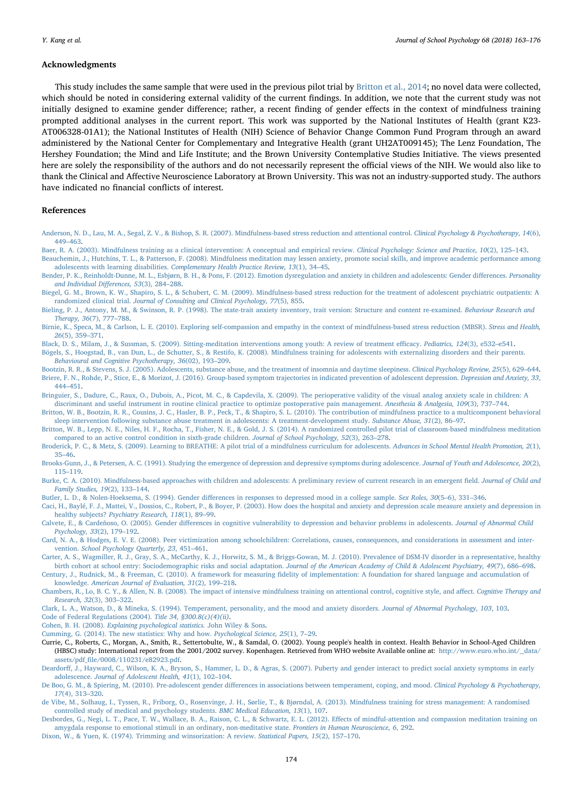## Acknowledgments

This study includes the same sample that were used in the previous pilot trial by [Britton et al., 2014;](#page-11-11) no novel data were collected, which should be noted in considering external validity of the current findings. In addition, we note that the current study was not initially designed to examine gender difference; rather, a recent finding of gender effects in the context of mindfulness training prompted additional analyses in the current report. This work was supported by the National Institutes of Health (grant K23- AT006328-01A1); the National Institutes of Health (NIH) Science of Behavior Change Common Fund Program through an award administered by the National Center for Complementary and Integrative Health (grant UH2AT009145); The Lenz Foundation, The Hershey Foundation; the Mind and Life Institute; and the Brown University Contemplative Studies Initiative. The views presented here are solely the responsibility of the authors and do not necessarily represent the official views of the NIH. We would also like to thank the Clinical and Affective Neuroscience Laboratory at Brown University. This was not an industry-supported study. The authors have indicated no financial conflicts of interest.

#### References

- <span id="page-11-20"></span>[Anderson, N. D., Lau, M. A., Segal, Z. V., & Bishop, S. R. \(2007\). Mindfulness-based stress reduction and attentional control.](http://refhub.elsevier.com/S0022-4405(18)30046-3/rf0005) Clinical Psychology & Psychotherapy, 14(6), 449–[463.](http://refhub.elsevier.com/S0022-4405(18)30046-3/rf0005)
- <span id="page-11-12"></span><span id="page-11-8"></span>[Baer, R. A. \(2003\). Mindfulness training as a clinical intervention: A conceptual and empirical review.](http://refhub.elsevier.com/S0022-4405(18)30046-3/rf0010) Clinical Psychology: Science and Practice, 10(2), 125-143. [Beauchemin, J., Hutchins, T. L., & Patterson, F. \(2008\). Mindfulness meditation may lessen anxiety, promote social skills, and improve academic performance among](http://refhub.elsevier.com/S0022-4405(18)30046-3/rf0015)
- <span id="page-11-22"></span>adolescents with learning disabilities. [Complementary Health Practice Review, 13](http://refhub.elsevier.com/S0022-4405(18)30046-3/rf0015)(1), 34–45. [Bender, P. K., Reinholdt-Dunne, M. L., Esbjørn, B. H., & Pons, F. \(2012\). Emotion dysregulation and anxiety in children and adolescents: Gender di](http://refhub.elsevier.com/S0022-4405(18)30046-3/rf9900)fferences. Personality [and Individual Di](http://refhub.elsevier.com/S0022-4405(18)30046-3/rf9900)fferences, 53(3), 284–288.
- <span id="page-11-2"></span>[Biegel, G. M., Brown, K. W., Shapiro, S. L., & Schubert, C. M. \(2009\). Mindfulness-based stress reduction for the treatment of adolescent psychiatric outpatients: A](http://refhub.elsevier.com/S0022-4405(18)30046-3/rf0020) randomized clinical trial. [Journal of Consulting and Clinical Psychology, 77](http://refhub.elsevier.com/S0022-4405(18)30046-3/rf0020)(5), 855.
- <span id="page-11-26"></span>[Bieling, P. J., Antony, M. M., & Swinson, R. P. \(1998\). The state-trait anxiety inventory, trait version: Structure and content re-examined.](http://refhub.elsevier.com/S0022-4405(18)30046-3/rf0025) Behaviour Research and [Therapy, 36](http://refhub.elsevier.com/S0022-4405(18)30046-3/rf0025)(7), 777–788.
- <span id="page-11-7"></span>[Birnie, K., Speca, M., & Carlson, L. E. \(2010\). Exploring self-compassion and empathy in the context of mindfulness-based stress reduction \(MBSR\).](http://refhub.elsevier.com/S0022-4405(18)30046-3/rf0030) Stress and Health, 26[\(5\), 359](http://refhub.elsevier.com/S0022-4405(18)30046-3/rf0030)–371.

<span id="page-11-15"></span>[Black, D. S., Milam, J., & Sussman, S. \(2009\). Sitting-meditation interventions among youth: A review of treatment e](http://refhub.elsevier.com/S0022-4405(18)30046-3/rf0035)fficacy. Pediatrics, 124(3), e532–e541.

- <span id="page-11-3"></span>[Bögels, S., Hoogstad, B., van Dun, L., de Schutter, S., & Restifo, K. \(2008\). Mindfulness training for adolescents with externalizing disorders and their parents.](http://refhub.elsevier.com/S0022-4405(18)30046-3/rf0040) [Behavioural and Cognitive Psychotherapy, 36](http://refhub.elsevier.com/S0022-4405(18)30046-3/rf0040)(02), 193–209.
- <span id="page-11-21"></span><span id="page-11-13"></span>[Bootzin, R. R., & Stevens, S. J. \(2005\). Adolescents, substance abuse, and the treatment of insomnia and daytime sleepiness.](http://refhub.elsevier.com/S0022-4405(18)30046-3/rf0045) Clinical Psychology Review, 25(5), 629–644. [Briere, F. N., Rohde, P., Stice, E., & Morizot, J. \(2016\). Group-based symptom trajectories in indicated prevention of adolescent depression.](http://refhub.elsevier.com/S0022-4405(18)30046-3/rf20044) Depression and Anxiety, 33, 444–[451.](http://refhub.elsevier.com/S0022-4405(18)30046-3/rf20044)
- <span id="page-11-28"></span>[Bringuier, S., Dadure, C., Raux, O., Dubois, A., Picot, M. C., & Capdevila, X. \(2009\). The perioperative validity of the visual analog anxiety scale in children: A](http://refhub.elsevier.com/S0022-4405(18)30046-3/rf0050) [discriminant and useful instrument in routine clinical practice to optimize postoperative pain management.](http://refhub.elsevier.com/S0022-4405(18)30046-3/rf0050) Anesthesia & Analgesia, 109(3), 737–744.
- <span id="page-11-14"></span>[Britton, W. B., Bootzin, R. R., Cousins, J. C., Hasler, B. P., Peck, T., & Shapiro, S. L. \(2010\). The contribution of mindfulness practice to a multicomponent behavioral](http://refhub.elsevier.com/S0022-4405(18)30046-3/rf0055) [sleep intervention following substance abuse treatment in adolescents: A treatment-development study.](http://refhub.elsevier.com/S0022-4405(18)30046-3/rf0055) Substance Abuse, 31(2), 86–97.
- <span id="page-11-11"></span>[Britton, W. B., Lepp, N. E., Niles, H. F., Rocha, T., Fisher, N. E., & Gold, J. S. \(2014\). A randomized controlled pilot trial of classroom-based mindfulness meditation](http://refhub.elsevier.com/S0022-4405(18)30046-3/rf0060) [compared to an active control condition in sixth-grade children.](http://refhub.elsevier.com/S0022-4405(18)30046-3/rf0060) Journal of School Psychology, 52(3), 263–278.
- <span id="page-11-4"></span>Broderick, [P. C., & Metz, S. \(2009\). Learning to BREATHE: A pilot trial of a mindfulness curriculum for adolescents.](http://refhub.elsevier.com/S0022-4405(18)30046-3/rf0065) Advances in School Mental Health Promotion, 2(1), [35](http://refhub.elsevier.com/S0022-4405(18)30046-3/rf0065)–46.
- <span id="page-11-18"></span>[Brooks-Gunn, J., & Petersen, A. C. \(1991\). Studying the emergence of depression and depressive symptoms during adolescence.](http://refhub.elsevier.com/S0022-4405(18)30046-3/rf0070) Journal of Youth and Adolescence, 20(2), 115–[119.](http://refhub.elsevier.com/S0022-4405(18)30046-3/rf0070)
- <span id="page-11-5"></span>[Burke, C. A. \(2010\). Mindfulness-based approaches with children and adolescents: A preliminary review of current research in an emergent](http://refhub.elsevier.com/S0022-4405(18)30046-3/rf0080) field. Journal of Child and [Family Studies, 19](http://refhub.elsevier.com/S0022-4405(18)30046-3/rf0080)(2), 133–144.
- <span id="page-11-32"></span>Butler, L. D., & Nolen-Hoeksema, S. (1994). Gender diff[erences in responses to depressed mood in a college sample.](http://refhub.elsevier.com/S0022-4405(18)30046-3/rf0085) Sex Roles, 30(5–6), 331–346.
- <span id="page-11-27"></span>[Caci, H., Baylé, F. J., Mattei, V., Dossios, C., Robert, P., & Boyer, P. \(2003\). How does the hospital and anxiety and depression scale measure anxiety and depression in](http://refhub.elsevier.com/S0022-4405(18)30046-3/rf0090) healthy subjects? [Psychiatry Research, 118](http://refhub.elsevier.com/S0022-4405(18)30046-3/rf0090)(1), 89–99.
- <span id="page-11-23"></span>Calvete, E., & Cardeñoso, O. (2005). Gender diff[erences in cognitive vulnerability to depression and behavior problems in adolescents.](http://refhub.elsevier.com/S0022-4405(18)30046-3/rf0095) Journal of Abnormal Child [Psychology, 33](http://refhub.elsevier.com/S0022-4405(18)30046-3/rf0095)(2), 179–192.
- <span id="page-11-9"></span>[Card, N. A., & Hodges, E. V. E. \(2008\). Peer victimization among schoolchildren: Correlations, causes, consequences, and considerations in assessment and inter](http://refhub.elsevier.com/S0022-4405(18)30046-3/rf0100)vention. [School Psychology Quarterly, 23](http://refhub.elsevier.com/S0022-4405(18)30046-3/rf0100), 451–461.
- <span id="page-11-1"></span>[Carter, A. S., Wagmiller, R. J., Gray, S. A., McCarthy, K. J., Horwitz, S. M., & Briggs-Gowan, M. J. \(2010\). Prevalence of DSM-IV disorder in a representative, healthy](http://refhub.elsevier.com/S0022-4405(18)30046-3/rf0105) [birth cohort at school entry: Sociodemographic risks and social adaptation.](http://refhub.elsevier.com/S0022-4405(18)30046-3/rf0105) Journal of the American Academy of Child & Adolescent Psychiatry, 49(7), 686-698. Century, J., Rudnick, M., & Freeman, C. (2010). A framework for measuring fi[delity of implementation: A foundation for shared language and accumulation of](http://refhub.elsevier.com/S0022-4405(18)30046-3/rf0110)
- <span id="page-11-33"></span><span id="page-11-6"></span>knowledge. [American Journal of Evaluation, 31](http://refhub.elsevier.com/S0022-4405(18)30046-3/rf0110)(2), 199–218. [Chambers, R., Lo, B. C. Y., & Allen, N. B. \(2008\). The impact of intensive mindfulness training on attentional control, cognitive style, and a](http://refhub.elsevier.com/S0022-4405(18)30046-3/rf0115)ffect. Cognitive Therapy and
- [Research, 32](http://refhub.elsevier.com/S0022-4405(18)30046-3/rf0115)(3), 303–322.
- <span id="page-11-19"></span>[Clark, L. A., Watson, D., & Mineka, S. \(1994\). Temperament, personality, and the mood and anxiety disorders.](http://refhub.elsevier.com/S0022-4405(18)30046-3/rf0120) Journal of Abnormal Psychology, 103, 103.

<span id="page-11-0"></span>[Code of Federal Regulations \(2004\).](http://refhub.elsevier.com/S0022-4405(18)30046-3/rf0125) Title 34, §300.8(c)(4)(ii).

- <span id="page-11-31"></span>Cohen, B. H. (2008). [Explaining psychological statistics.](http://refhub.elsevier.com/S0022-4405(18)30046-3/rf0130) John Wiley & Sons.
- <span id="page-11-30"></span>[Cumming, G. \(2014\). The new statistics: Why and how.](http://refhub.elsevier.com/S0022-4405(18)30046-3/rf0140) Psychological Science, 25(1), 7–29.
- <span id="page-11-10"></span>Currie, C., Roberts, C., Morgan, A., Smith, R., Settertobulte, W., & Samdal, O. (2002). Young people's health in context. Health Behavior in School-Aged Children (HBSC) study: International report from the 2001/2002 survey. Kopenhagen. Retrieved from WHO website Available online at: [http://www.euro.who.int/\\_\\_data/](http://www.euro.who.int/__data/assets/pdf_file/0008/110231/e82923.pdf) assets/pdf\_fi[le/0008/110231/e82923.pdf.](http://www.euro.who.int/__data/assets/pdf_file/0008/110231/e82923.pdf)
- <span id="page-11-24"></span>Deardorff[, J., Hayward, C., Wilson, K. A., Bryson, S., Hammer, L. D., & Agras, S. \(2007\). Puberty and gender interact to predict social anxiety symptoms in early](http://refhub.elsevier.com/S0022-4405(18)30046-3/rf0605) adolescence. [Journal of Adolescent Health, 41](http://refhub.elsevier.com/S0022-4405(18)30046-3/rf0605)(1), 102–104.
- <span id="page-11-25"></span>De Boo, G. M., & Spiering, M. (2010). Pre-adolescent gender diff[erences in associations between temperament, coping, and mood.](http://refhub.elsevier.com/S0022-4405(18)30046-3/rf9155) Clinical Psychology & Psychotherapy, 17[\(4\), 313](http://refhub.elsevier.com/S0022-4405(18)30046-3/rf9155)–320.
- <span id="page-11-17"></span>[de Vibe, M., Solhaug, I., Tyssen, R., Friborg, O., Rosenvinge, J. H., Sørlie, T., & Bjørndal, A. \(2013\). Mindfulness training for stress management: A randomised](http://refhub.elsevier.com/S0022-4405(18)30046-3/rf0150) [controlled study of medical and psychology students.](http://refhub.elsevier.com/S0022-4405(18)30046-3/rf0150) BMC Medical Education, 13(1), 107.
- <span id="page-11-16"></span>[Desbordes, G., Negi, L. T., Pace, T. W., Wallace, B. A., Raison, C. L., & Schwartz, E. L. \(2012\). E](http://refhub.elsevier.com/S0022-4405(18)30046-3/rf0155)ffects of mindful-attention and compassion meditation training on [amygdala response to emotional stimuli in an ordinary, non-meditative state.](http://refhub.elsevier.com/S0022-4405(18)30046-3/rf0155) Frontiers in Human Neuroscience, 6, 292.
- <span id="page-11-29"></span>[Dixon, W., & Yuen, K. \(1974\). Trimming and winsorization: A review.](http://refhub.elsevier.com/S0022-4405(18)30046-3/rf0160) Statistical Papers, 15(2), 157–170.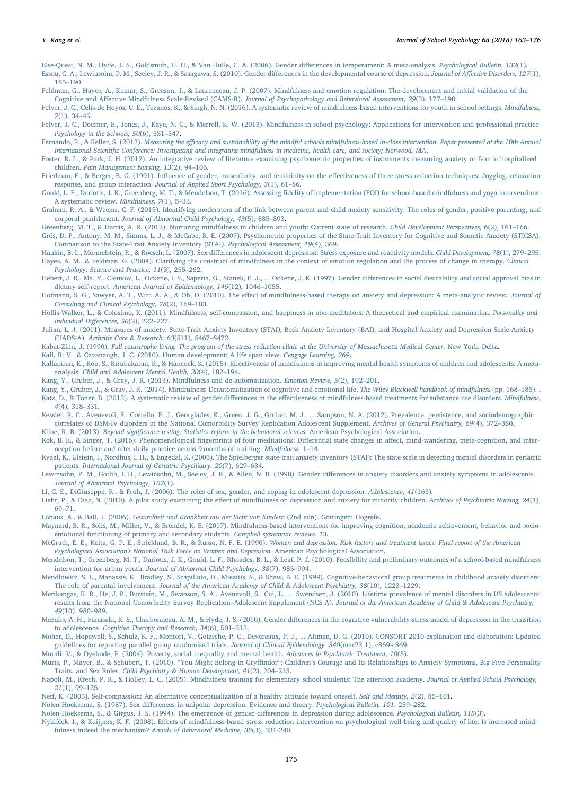- <span id="page-12-24"></span><span id="page-12-2"></span>[Else-Quest, N. M., Hyde, J. S., Goldsmith, H. H., & Van Hulle, C. A. \(2006\). Gender di](http://refhub.elsevier.com/S0022-4405(18)30046-3/rf0165)fferences in temperament: A meta-analysis. Psychological Bulletin, 132(1). [Essau, C. A., Lewinsohn, P. M., Seeley, J. R., & Sasagawa, S. \(2010\). Gender di](http://refhub.elsevier.com/S0022-4405(18)30046-3/rf0610)fferences in the developmental course of depression. Journal of Affective Disorders, 127(1), 185–[190.](http://refhub.elsevier.com/S0022-4405(18)30046-3/rf0610)
- <span id="page-12-32"></span>[Feldman, G., Hayes, A., Kumar, S., Greeson, J., & Laurenceau, J. P. \(2007\). Mindfulness and emotion regulation: The development and initial validation of the](http://refhub.elsevier.com/S0022-4405(18)30046-3/rf0170) Cognitive and Affective Mindfulness Scale-Revised (CAMS-R). [Journal of Psychopathology and Behavioral Assessment, 29](http://refhub.elsevier.com/S0022-4405(18)30046-3/rf0170)(3), 177–190.
- <span id="page-12-13"></span>[Felver, J. C., Celis-de Hoyos, C. E., Tezanos, K., & Singh, N. N. \(2016\). A systematic review of mindfulness-based interventions for youth in school settings.](http://refhub.elsevier.com/S0022-4405(18)30046-3/rf0175) Mindfulness, 7[\(1\), 34](http://refhub.elsevier.com/S0022-4405(18)30046-3/rf0175)–45.
- <span id="page-12-11"></span>[Felver, J. C., Doerner, E., Jones, J., Kaye, N. C., & Merrell, K. W. \(2013\). Mindfulness in school psychology: Applications for intervention and professional practice.](http://refhub.elsevier.com/S0022-4405(18)30046-3/rf0180) [Psychology in the Schools, 50](http://refhub.elsevier.com/S0022-4405(18)30046-3/rf0180)(6), 531–547.
- <span id="page-12-42"></span>Fernando, R., & Keller, S. (2012). Measuring the effi[cacy and sustainability of the mindful schools mindfulness-based in-class intervention. Paper presented at the 10th Annual](http://refhub.elsevier.com/S0022-4405(18)30046-3/rf0185) International Scientifi[c Conference: Investigating and integrating mindfulness in medicine, health care, and society; Norwood, MA](http://refhub.elsevier.com/S0022-4405(18)30046-3/rf0185).
- <span id="page-12-30"></span>[Foster, R. L., & Park, J. H. \(2012\). An integrative review of literature examining psychometric properties of instruments measuring anxiety or fear in hospitalized](http://refhub.elsevier.com/S0022-4405(18)30046-3/rf0190) children. [Pain Management Nursing, 13](http://refhub.elsevier.com/S0022-4405(18)30046-3/rf0190)(2), 94–106.
- <span id="page-12-39"></span>Friedman, E., & Berger, B. G. (1991). Influence of gender, masculinity, and femininity on the eff[ectiveness of three stress reduction techniques: Jogging, relaxation](http://refhub.elsevier.com/S0022-4405(18)30046-3/rf0195) response, and group interaction. [Journal of Applied Sport Psychology, 3](http://refhub.elsevier.com/S0022-4405(18)30046-3/rf0195)(1), 61–86.
- <span id="page-12-41"></span>Gould, L. F., Dariotis, J. K., Greenberg, M. T., & Mendelson, T. (2016). Assessing fi[delity of implementation \(FOI\) for school-based mindfulness and yoga interventions:](http://refhub.elsevier.com/S0022-4405(18)30046-3/rf0200) [A systematic review.](http://refhub.elsevier.com/S0022-4405(18)30046-3/rf0200) Mindfulness, 7(1), 5–33.
- <span id="page-12-25"></span>[Graham, R. A., & Weems, C. F. \(2015\). Identifying moderators of the link between parent and child anxiety sensitivity: The roles of gender, positive parenting, and](http://refhub.elsevier.com/S0022-4405(18)30046-3/rf0615) corporal punishment. [Journal of Abnormal Child Psychology, 43](http://refhub.elsevier.com/S0022-4405(18)30046-3/rf0615)(5), 885–893.
- <span id="page-12-29"></span><span id="page-12-14"></span>[Greenberg, M. T., & Harris, A. R. \(2012\). Nurturing mindfulness in children and youth: Current state of research.](http://refhub.elsevier.com/S0022-4405(18)30046-3/rf0205) Child Development Perspectives, 6(2), 161–166. [Grös, D. F., Antony, M. M., Simms, L. J., & McCabe, R. E. \(2007\). Psychometric properties of the State-Trait Inventory for Cognitive and Somatic Anxiety \(STICSA\):](http://refhub.elsevier.com/S0022-4405(18)30046-3/rf0210) [Comparison to the State-Trait Anxiety Inventory \(STAI\).](http://refhub.elsevier.com/S0022-4405(18)30046-3/rf0210) Psychological Assessment, 19(4), 369.
- <span id="page-12-31"></span><span id="page-12-26"></span>Hankin, B. L., Mermelstein, R., & Roesch, L. (2007). Sex diff[erences in adolescent depression: Stress exposure and reactivity models.](http://refhub.elsevier.com/S0022-4405(18)30046-3/rf9810) Child Development, 78(1), 279–295. [Hayes, A. M., & Feldman, G. \(2004\). Clarifying the construct of mindfulness in the context of emotion regulation and the process of change in therapy.](http://refhub.elsevier.com/S0022-4405(18)30046-3/rf0215) Clinical [Psychology: Science and Practice, 11](http://refhub.elsevier.com/S0022-4405(18)30046-3/rf0215)(3), 255–262.
- <span id="page-12-40"></span>[Hebert, J. R., Ma, Y., Clemow, L., Ockene, I. S., Saperia, G., Stanek, E. J., ... Ockene, J. K. \(1997\). Gender di](http://refhub.elsevier.com/S0022-4405(18)30046-3/rf0220)fferences in social desirability and social approval bias in dietary self-report. [American Journal of Epidemiology, 146](http://refhub.elsevier.com/S0022-4405(18)30046-3/rf0220)(12), 1046–1055.
- <span id="page-12-3"></span>Hofmann, S. G., Sawyer, A. T., Witt, A. A., & Oh, D. (2010). The eff[ect of mindfulness-based therapy on anxiety and depression: A meta-analytic review.](http://refhub.elsevier.com/S0022-4405(18)30046-3/rf0225) Journal of [Consulting and Clinical Psychology, 78](http://refhub.elsevier.com/S0022-4405(18)30046-3/rf0225)(2), 169–183.
- <span id="page-12-6"></span>[Hollis-Walker, L., & Colosimo, K. \(2011\). Mindfulness, self-compassion, and happiness in non-meditators: A theoretical and empirical examination.](http://refhub.elsevier.com/S0022-4405(18)30046-3/rf0230) Personality and [Individual Di](http://refhub.elsevier.com/S0022-4405(18)30046-3/rf0230)fferences, 50(2), 222–227.
- <span id="page-12-35"></span>[Julian, L. J. \(2011\). Measures of anxiety: State-Trait Anxiety Inventory \(STAI\), Beck Anxiety Inventory \(BAI\), and Hospital Anxiety and Depression Scale-Anxiety](http://refhub.elsevier.com/S0022-4405(18)30046-3/rf0235) (HADS-A). [Arthritis Care & Research, 63](http://refhub.elsevier.com/S0022-4405(18)30046-3/rf0235)(S11), S467–S472.

<span id="page-12-4"></span>Kabat-Zinn, J. (1990). [Full catastrophe living: The program of the stress reduction clinic at the University of Massachusetts Medical Center.](http://refhub.elsevier.com/S0022-4405(18)30046-3/rf0240) New York: Delta.

- <span id="page-12-43"></span>[Kail, R. V., & Cavanaugh, J. C. \(2010\). Human development: A life span view.](http://refhub.elsevier.com/S0022-4405(18)30046-3/rf0245) Cengage Learning, 269.
- <span id="page-12-16"></span>Kallapiran, K., Koo, S., Kirubakaran, R., & Hancock, K. (2015). Eff[ectiveness of mindfulness in improving mental health symptoms of children and adolescents: A meta](http://refhub.elsevier.com/S0022-4405(18)30046-3/rf0250)analysis. [Child and Adolescent Mental Health, 20](http://refhub.elsevier.com/S0022-4405(18)30046-3/rf0250)(4), 182–194.
- <span id="page-12-7"></span>[Kang, Y., Gruber, J., & Gray, J. R. \(2013\). Mindfulness and de-automatization.](http://refhub.elsevier.com/S0022-4405(18)30046-3/rf0255) Emotion Review, 5(2), 192–201.
- [Kang, Y., Gruber, J., & Gray, J. R. \(2014\). Mindfulness: Deautomatization of cognitive and emotional life.](http://refhub.elsevier.com/S0022-4405(18)30046-3/rf0260) The Wiley Blackwell handbook of mindfulness (pp. 168-185).
- <span id="page-12-17"></span>Katz, D., & Toner, B. (2013). A systematic review of gender differences in the eff[ectiveness of mindfulness-based treatments for substance use disorders.](http://refhub.elsevier.com/S0022-4405(18)30046-3/rf0265) Mindfulness, 4[\(4\), 318](http://refhub.elsevier.com/S0022-4405(18)30046-3/rf0265)–331.
- <span id="page-12-0"></span>[Kessler, R. C., Avenevoli, S., Costello, E. J., Georgiades, K., Green, J. G., Gruber, M. J., ... Sampson, N. A. \(2012\). Prevalence, persistence, and sociodemographic](http://refhub.elsevier.com/S0022-4405(18)30046-3/rf0270) [correlates of DSM-IV disorders in the National Comorbidity Survey Replication Adolescent Supplement.](http://refhub.elsevier.com/S0022-4405(18)30046-3/rf0270) Archives of General Psychiatry, 69(4), 372–380.
- <span id="page-12-33"></span>Kline, R. B. (2013). Beyond signifi[cance testing: Statistics reform in the behavioral sciences.](http://refhub.elsevier.com/S0022-4405(18)30046-3/rf0275) American Psychological Association.
- <span id="page-12-37"></span>[Kok, B. E., & Singer, T. \(2016\). Phenomenological](http://refhub.elsevier.com/S0022-4405(18)30046-3/rf0280) fingerprints of four meditations: Differential state changes in affect, mind-wandering, meta-cognition, and inter[oception before and after daily practice across 9 months of training.](http://refhub.elsevier.com/S0022-4405(18)30046-3/rf0280) Mindfulness, 1–14.
- <span id="page-12-36"></span>[Kvaal, K., Ulstein, I., Nordhus, I. H., & Engedal, K. \(2005\). The Spielberger state-trait anxiety inventory \(STAI\): The state scale in detecting mental disorders in geriatric](http://refhub.elsevier.com/S0022-4405(18)30046-3/rf0285) patients. [International Journal of Geriatric Psychiatry, 20](http://refhub.elsevier.com/S0022-4405(18)30046-3/rf0285)(7), 629–634.
- <span id="page-12-19"></span>[Lewinsohn, P. M., Gotlib, I. H., Lewinsohn, M., Seeley, J. R., & Allen, N. B. \(1998\). Gender di](http://refhub.elsevier.com/S0022-4405(18)30046-3/rf0290)fferences in anxiety disorders and anxiety symptoms in adolescents. [Journal of Abnormal Psychology, 107](http://refhub.elsevier.com/S0022-4405(18)30046-3/rf0290)(1).
- <span id="page-12-38"></span>[Li, C. E., DiGiuseppe, R., & Froh, J. \(2006\). The roles of sex, gender, and coping in adolescent depression.](http://refhub.elsevier.com/S0022-4405(18)30046-3/rf0295) Adolescence, 41(163).
- <span id="page-12-15"></span>Liehr, P., & Diaz, N. (2010). A pilot study examining the eff[ect of mindfulness on depression and anxiety for minority children.](http://refhub.elsevier.com/S0022-4405(18)30046-3/rf0300) Archives of Psychiatric Nursing, 24(1), [69](http://refhub.elsevier.com/S0022-4405(18)30046-3/rf0300)–71.
- <span id="page-12-8"></span>Lohaus, A., & Ball, J. (2006). [Gesundheit und Krankheit aus der Sicht von Kindern](http://refhub.elsevier.com/S0022-4405(18)30046-3/rf0305) (2nd edn). Göttingen: Hogrefe.
- <span id="page-12-12"></span>[Maynard, B. R., Solis, M., Miller, V., & Brendel, K. E. \(2017\). Mindfulness-based interventions for improving cognition, academic achievement, behavior and socio](http://refhub.elsevier.com/S0022-4405(18)30046-3/rf0310)[emotional functioning of primary and secondary students.](http://refhub.elsevier.com/S0022-4405(18)30046-3/rf0310) Campbell systematic reviews. 13.
- <span id="page-12-20"></span>McGrath, E. E., Keita, G. P. E., Strickland, B. R., & Russo, N. F. E. (1990). [Women and depression: Risk factors and treatment issues: Final report of the American](http://refhub.elsevier.com/S0022-4405(18)30046-3/rf0315) [Psychological Association's National Task Force on Women and Depression.](http://refhub.elsevier.com/S0022-4405(18)30046-3/rf0315) American Psychological Association.
- <span id="page-12-10"></span>[Mendelson, T., Greenberg, M. T., Dariotis, J. K., Gould, L. F., Rhoades, B. L., & Leaf, P. J. \(2010\). Feasibility and preliminary outcomes of a school-based mindfulness](http://refhub.elsevier.com/S0022-4405(18)30046-3/rf0320) intervention for urban youth. [Journal of Abnormal Child Psychology, 38](http://refhub.elsevier.com/S0022-4405(18)30046-3/rf0320)(7), 985–994.
- <span id="page-12-22"></span>[Mendlowitz, S. L., Manassis, K., Bradley, S., Scapillato, D., Miezitis, S., & Shaw, B. E. \(1999\). Cognitive-behavioral group treatments in childhood anxiety disorders:](http://refhub.elsevier.com/S0022-4405(18)30046-3/rf0325) The role of parental involvement. [Journal of the American Academy of Child & Adolescent Psychiatry, 38](http://refhub.elsevier.com/S0022-4405(18)30046-3/rf0325)(10), 1223–1229.
- <span id="page-12-9"></span>[Merikangas, K. R., He, J. P., Burstein, M., Swanson, S. A., Avenevoli, S., Cui, L., ... Swendsen, J. \(2010\). Lifetime prevalence of mental disorders in US adolescents:](http://refhub.elsevier.com/S0022-4405(18)30046-3/rf0330) results from the National Comorbidity Survey Replication–Adolescent Supplement (NCS-A). [Journal of the American Academy of Child & Adolescent Psychiatry,](http://refhub.elsevier.com/S0022-4405(18)30046-3/rf0330) 49[\(10\), 980](http://refhub.elsevier.com/S0022-4405(18)30046-3/rf0330)–989.
- <span id="page-12-27"></span>[Mezulis, A. H., Funasaki, K. S., Charbonneau, A. M., & Hyde, J. S. \(2010\). Gender di](http://refhub.elsevier.com/S0022-4405(18)30046-3/rf9338)fferences in the cognitive vulnerability-stress model of depression in the transition to adolescence. [Cognitive Therapy and Research, 34](http://refhub.elsevier.com/S0022-4405(18)30046-3/rf9338)(6), 501–513.
- <span id="page-12-34"></span>[Moher, D., Hopewell, S., Schulz, K. F., Montori, V., Gotzsche, P. C., Devereaux, P. J., ... Altman, D. G. \(2010\). CONSORT 2010 explanation and elaboration: Updated](http://refhub.elsevier.com/S0022-4405(18)30046-3/rf0335) [guidelines for reporting parallel group randomised trials.](http://refhub.elsevier.com/S0022-4405(18)30046-3/rf0335) Journal of Clinical Epidemiology, 340(mar23 1), c869-c869.
- <span id="page-12-44"></span>[Murali, V., & Oyebode, F. \(2004\). Poverty, social inequality and mental health.](http://refhub.elsevier.com/S0022-4405(18)30046-3/rf0340) Advances in Psychiatric Treatment, 10(3).
- <span id="page-12-28"></span>Muris, P., Mayer, B., & Schubert, T. (2010). "You Might Belong in Gryffindor": Children'[s Courage and Its Relationships to Anxiety Symptoms, Big Five Personality](http://refhub.elsevier.com/S0022-4405(18)30046-3/rf20187) Traits, and Sex Roles. [Child Psychiatry & Human Development, 41](http://refhub.elsevier.com/S0022-4405(18)30046-3/rf20187)(2), 204–213.
- <span id="page-12-1"></span>[Napoli, M., Krech, P. R., & Holley, L. C. \(2005\). Mindfulness training for elementary school students: The attention academy.](http://refhub.elsevier.com/S0022-4405(18)30046-3/rf0345) Journal of Applied School Psychology, 21[\(1\), 99](http://refhub.elsevier.com/S0022-4405(18)30046-3/rf0345)–125.
- <span id="page-12-5"></span>Neff[, K. \(2003\). Self-compassion: An alternative conceptualization of a healthy attitude toward oneself.](http://refhub.elsevier.com/S0022-4405(18)30046-3/rf0350) Self and Identity, 2(2), 85–101.
- <span id="page-12-18"></span>Nolen-Hoeksema, S. (1987). Sex diff[erences in unipolar depression: Evidence and theory.](http://refhub.elsevier.com/S0022-4405(18)30046-3/rf0355) Psychological Bulletin, 101, 259–282.
- <span id="page-12-21"></span>[Nolen-Hoeksema, S., & Girgus, J. S. \(1994\). The emergence of gender di](http://refhub.elsevier.com/S0022-4405(18)30046-3/rf0360)fferences in depression during adolescence. Psychological Bulletin, 115(3).
- <span id="page-12-23"></span>Nyklíček, I., & Kuijpers, K. F. (2008). Eff[ects of mindfulness-based stress reduction intervention on psychological well-being and quality of life: Is increased mind](http://refhub.elsevier.com/S0022-4405(18)30046-3/rf0365)fulness indeed the mechanism? [Annals of Behavioral Medicine, 35](http://refhub.elsevier.com/S0022-4405(18)30046-3/rf0365)(3), 331-240.